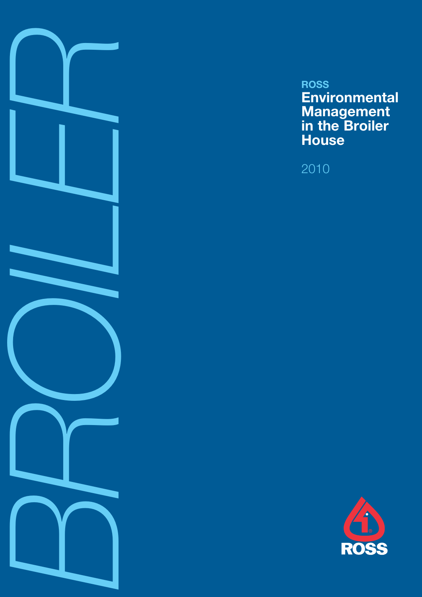

# **ROSS Environmental Management in the Broiler House**

2010

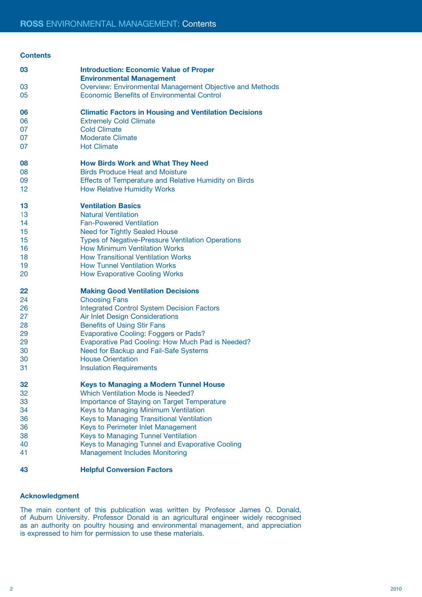#### **Contents**

| 03       | <b>Introduction: Economic Value of Proper</b><br><b>Environmental Management</b>                 |
|----------|--------------------------------------------------------------------------------------------------|
| 03       | Overview: Environmental Management Objective and Methods                                         |
| 05       | <b>Economic Benefits of Environmental Control</b>                                                |
| 06       | <b>Climatic Factors in Housing and Ventilation Decisions</b>                                     |
| 06       | <b>Extremely Cold Climate</b>                                                                    |
| 07       | <b>Cold Climate</b>                                                                              |
| 07       | <b>Moderate Climate</b>                                                                          |
| 07       | <b>Hot Climate</b>                                                                               |
| 08       | <b>How Birds Work and What They Need</b>                                                         |
| 08       | <b>Birds Produce Heat and Moisture</b>                                                           |
| 09       | <b>Effects of Temperature and Relative Humidity on Birds</b>                                     |
| 12       | <b>How Relative Humidity Works</b>                                                               |
| 13       | <b>Ventilation Basics</b>                                                                        |
| 13       | <b>Natural Ventilation</b>                                                                       |
| 14       | <b>Fan-Powered Ventilation</b>                                                                   |
| 15       | <b>Need for Tightly Sealed House</b>                                                             |
| 15<br>16 | <b>Types of Negative-Pressure Ventilation Operations</b><br><b>How Minimum Ventilation Works</b> |
| 18       | <b>How Transitional Ventilation Works</b>                                                        |
| 19       | <b>How Tunnel Ventilation Works</b>                                                              |
| 20       | <b>How Evaporative Cooling Works</b>                                                             |
|          |                                                                                                  |
| 22       | <b>Making Good Ventilation Decisions</b>                                                         |
| 24       | <b>Choosing Fans</b>                                                                             |
| 26       | <b>Integrated Control System Decision Factors</b>                                                |
| 27       | <b>Air Inlet Design Considerations</b>                                                           |
| 28       | <b>Benefits of Using Stir Fans</b>                                                               |
| 29<br>29 | <b>Evaporative Cooling: Foggers or Pads?</b>                                                     |
| 30       | Evaporative Pad Cooling: How Much Pad is Needed?<br>Need for Backup and Fail-Safe Systems        |
| 30       | <b>House Orientation</b>                                                                         |
| 31       | <b>Insulation Requirements</b>                                                                   |
| 32       | <b>Keys to Managing a Modern Tunnel House</b>                                                    |
| 32       | <b>Which Ventilation Mode is Needed?</b>                                                         |
| 33       | Importance of Staying on Target Temperature                                                      |
| 34       | Keys to Managing Minimum Ventilation                                                             |
| 36       | Keys to Managing Transitional Ventilation                                                        |
| 36       | Keys to Perimeter Inlet Management                                                               |
| 38       | Keys to Managing Tunnel Ventilation                                                              |
| 40       | Keys to Managing Tunnel and Evaporative Cooling                                                  |
| 41       | <b>Management Includes Monitoring</b>                                                            |
| 43       | <b>Helpful Conversion Factors</b>                                                                |

## **Acknowledgment**

The main content of this publication was written by Professor James O. Donald, of Auburn University. Professor Donald is an agricultural engineer widely recognised as an authority on poultry housing and environmental management, and appreciation is expressed to him for permission to use these materials.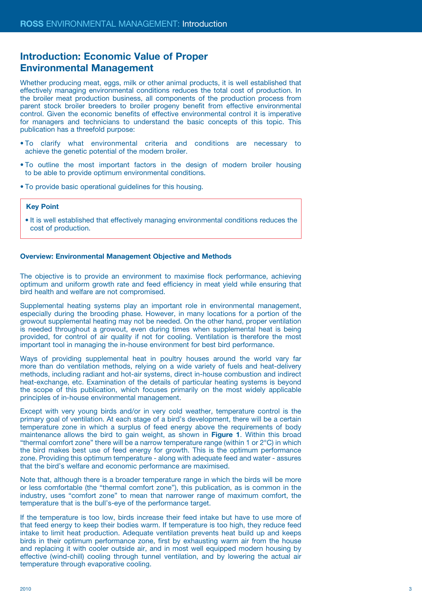## **Introduction: Economic Value of Proper Environmental Management**

Whether producing meat, eggs, milk or other animal products, it is well established that effectively managing environmental conditions reduces the total cost of production. In the broiler meat production business, all components of the production process from parent stock broiler breeders to broiler progeny benefit from effective environmental control. Given the economic benefits of effective environmental control it is imperative for managers and technicians to understand the basic concepts of this topic. This publication has a threefold purpose:

- To clarify what environmental criteria and conditions are necessary to achieve the genetic potential of the modern broiler.
- To outline the most important factors in the design of modern broiler housing to be able to provide optimum environmental conditions.
- To provide basic operational guidelines for this housing.

### **Key Point**

• It is well established that effectively managing environmental conditions reduces the cost of production.

#### **Overview: Environmental Management Objective and Methods**

The objective is to provide an environment to maximise flock performance, achieving optimum and uniform growth rate and feed efficiency in meat yield while ensuring that bird health and welfare are not compromised.

Supplemental heating systems play an important role in environmental management, especially during the brooding phase. However, in many locations for a portion of the growout supplemental heating may not be needed. On the other hand, proper ventilation is needed throughout a growout, even during times when supplemental heat is being provided, for control of air quality if not for cooling. Ventilation is therefore the most important tool in managing the in-house environment for best bird performance.

Ways of providing supplemental heat in poultry houses around the world vary far more than do ventilation methods, relying on a wide variety of fuels and heat-delivery methods, including radiant and hot-air systems, direct in-house combustion and indirect heat-exchange, etc. Examination of the details of particular heating systems is beyond the scope of this publication, which focuses primarily on the most widely applicable principles of in-house environmental management.

Except with very young birds and/or in very cold weather, temperature control is the primary goal of ventilation. At each stage of a bird's development, there will be a certain temperature zone in which a surplus of feed energy above the requirements of body maintenance allows the bird to gain weight, as shown in **Figure 1**. Within this broad "thermal comfort zone" there will be a narrow temperature range (within 1 or 2°C) in which the bird makes best use of feed energy for growth. This is the optimum performance zone. Providing this optimum temperature - along with adequate feed and water - assures that the bird's welfare and economic performance are maximised.

Note that, although there is a broader temperature range in which the birds will be more or less comfortable (the "thermal comfort zone"), this publication, as is common in the industry, uses "comfort zone" to mean that narrower range of maximum comfort, the temperature that is the bull's-eye of the performance target.

If the temperature is too low, birds increase their feed intake but have to use more of that feed energy to keep their bodies warm. If temperature is too high, they reduce feed intake to limit heat production. Adequate ventilation prevents heat build up and keeps birds in their optimum performance zone, first by exhausting warm air from the house and replacing it with cooler outside air, and in most well equipped modern housing by effective (wind-chill) cooling through tunnel ventilation, and by lowering the actual air temperature through evaporative cooling.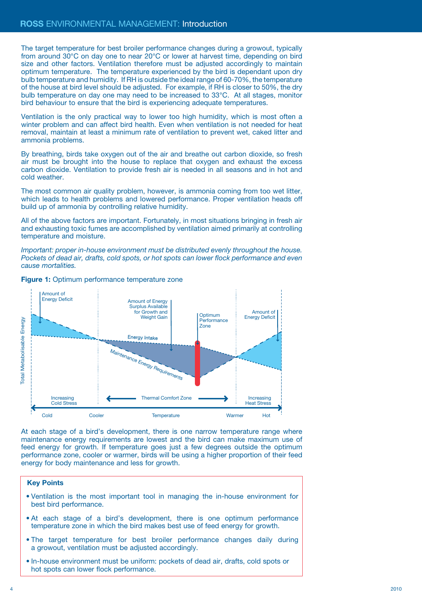The target temperature for best broiler performance changes during a growout, typically from around 30°C on day one to near 20°C or lower at harvest time, depending on bird size and other factors. Ventilation therefore must be adjusted accordingly to maintain optimum temperature. The temperature experienced by the bird is dependant upon dry bulb temperature and humidity. If RH is outside the ideal range of 60-70%, the temperature of the house at bird level should be adjusted. For example, if RH is closer to 50%, the dry bulb temperature on day one may need to be increased to 33°C. At all stages, monitor bird behaviour to ensure that the bird is experiencing adequate temperatures.

Ventilation is the only practical way to lower too high humidity, which is most often a winter problem and can affect bird health. Even when ventilation is not needed for heat removal, maintain at least a minimum rate of ventilation to prevent wet, caked litter and ammonia problems.

By breathing, birds take oxygen out of the air and breathe out carbon dioxide, so fresh air must be brought into the house to replace that oxygen and exhaust the excess carbon dioxide. Ventilation to provide fresh air is needed in all seasons and in hot and cold weather.

The most common air quality problem, however, is ammonia coming from too wet litter, which leads to health problems and lowered performance. Proper ventilation heads off build up of ammonia by controlling relative humidity.

All of the above factors are important. Fortunately, in most situations bringing in fresh air and exhausting toxic fumes are accomplished by ventilation aimed primarily at controlling temperature and moisture.

*Important: proper in-house environment must be distributed evenly throughout the house. Pockets of dead air, drafts, cold spots, or hot spots can lower flock performance and even cause mortalities.* 



#### **Figure 1:** Optimum performance temperature zone

At each stage of a bird's development, there is one narrow temperature range where maintenance energy requirements are lowest and the bird can make maximum use of feed energy for growth. If temperature goes just a few degrees outside the optimum performance zone, cooler or warmer, birds will be using a higher proportion of their feed energy for body maintenance and less for growth.

- Ventilation is the most important tool in managing the in-house environment for best bird performance.
- At each stage of a bird's development, there is one optimum performance temperature zone in which the bird makes best use of feed energy for growth.
- The target temperature for best broiler performance changes daily during a growout, ventilation must be adjusted accordingly.
- In-house environment must be uniform: pockets of dead air, drafts, cold spots or hot spots can lower flock performance.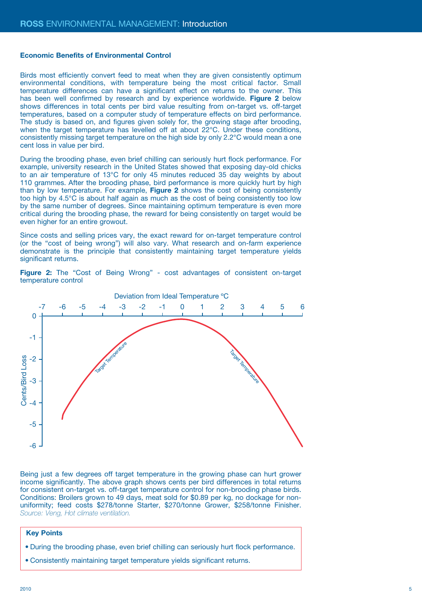#### **Economic Benefits of Environmental Control**

Birds most efficiently convert feed to meat when they are given consistently optimum environmental conditions, with temperature being the most critical factor. Small temperature differences can have a significant effect on returns to the owner. This has been well confirmed by research and by experience worldwide. **Figure 2** below shows differences in total cents per bird value resulting from on-target vs. off-target temperatures, based on a computer study of temperature effects on bird performance. The study is based on, and figures given solely for, the growing stage after brooding, when the target temperature has levelled off at about 22°C. Under these conditions, consistently missing target temperature on the high side by only 2.2°C would mean a one cent loss in value per bird.

During the brooding phase, even brief chilling can seriously hurt flock performance. For example, university research in the United States showed that exposing day-old chicks to an air temperature of 13°C for only 45 minutes reduced 35 day weights by about 110 grammes. After the brooding phase, bird performance is more quickly hurt by high than by low temperature. For example, **Figure 2** shows the cost of being consistently too high by 4.5°C is about half again as much as the cost of being consistently too low by the same number of degrees. Since maintaining optimum temperature is even more critical during the brooding phase, the reward for being consistently on target would be even higher for an entire growout.

Since costs and selling prices vary, the exact reward for on-target temperature control (or the "cost of being wrong") will also vary. What research and on-farm experience demonstrate is the principle that consistently maintaining target temperature yields significant returns.

**Figure 2:** The "Cost of Being Wrong" - cost advantages of consistent on-target temperature control



Deviation from Ideal Temperature ºC

Being just a few degrees off target temperature in the growing phase can hurt grower income significantly. The above graph shows cents per bird differences in total returns for consistent on-target vs. off-target temperature control for non-brooding phase birds. Conditions: Broilers grown to 49 days, meat sold for \$0.89 per kg, no dockage for nonuniformity; feed costs \$278/tonne Starter, \$270/tonne Grower, \$258/tonne Finisher. *Source: Veng, Hot climate ventilation.*

- During the brooding phase, even brief chilling can seriously hurt flock performance.
- Consistently maintaining target temperature yields significant returns.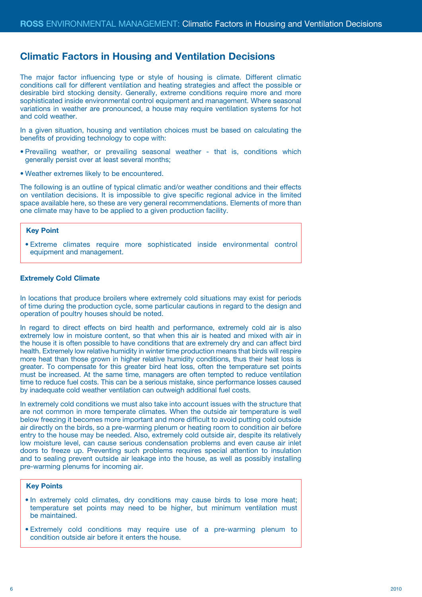## **Climatic Factors in Housing and Ventilation Decisions**

The major factor influencing type or style of housing is climate. Different climatic conditions call for different ventilation and heating strategies and affect the possible or desirable bird stocking density. Generally, extreme conditions require more and more sophisticated inside environmental control equipment and management. Where seasonal variations in weather are pronounced, a house may require ventilation systems for hot and cold weather.

In a given situation, housing and ventilation choices must be based on calculating the benefits of providing technology to cope with:

- Prevailing weather, or prevailing seasonal weather that is, conditions which generally persist over at least several months;
- Weather extremes likely to be encountered.

The following is an outline of typical climatic and/or weather conditions and their effects on ventilation decisions. It is impossible to give specific regional advice in the limited space available here, so these are very general recommendations. Elements of more than one climate may have to be applied to a given production facility.

## **Key Point**

• Extreme climates require more sophisticated inside environmental control equipment and management.

#### **Extremely Cold Climate**

In locations that produce broilers where extremely cold situations may exist for periods of time during the production cycle, some particular cautions in regard to the design and operation of poultry houses should be noted.

In regard to direct effects on bird health and performance, extremely cold air is also extremely low in moisture content, so that when this air is heated and mixed with air in the house it is often possible to have conditions that are extremely dry and can affect bird health. Extremely low relative humidity in winter time production means that birds will respire more heat than those grown in higher relative humidity conditions, thus their heat loss is greater. To compensate for this greater bird heat loss, often the temperature set points must be increased. At the same time, managers are often tempted to reduce ventilation time to reduce fuel costs. This can be a serious mistake, since performance losses caused by inadequate cold weather ventilation can outweigh additional fuel costs.

In extremely cold conditions we must also take into account issues with the structure that are not common in more temperate climates. When the outside air temperature is well below freezing it becomes more important and more difficult to avoid putting cold outside air directly on the birds, so a pre-warming plenum or heating room to condition air before entry to the house may be needed. Also, extremely cold outside air, despite its relatively low moisture level, can cause serious condensation problems and even cause air inlet doors to freeze up. Preventing such problems requires special attention to insulation and to sealing prevent outside air leakage into the house, as well as possibly installing pre-warming plenums for incoming air.

- In extremely cold climates, dry conditions may cause birds to lose more heat; temperature set points may need to be higher, but minimum ventilation must be maintained.
- Extremely cold conditions may require use of a pre-warming plenum to condition outside air before it enters the house.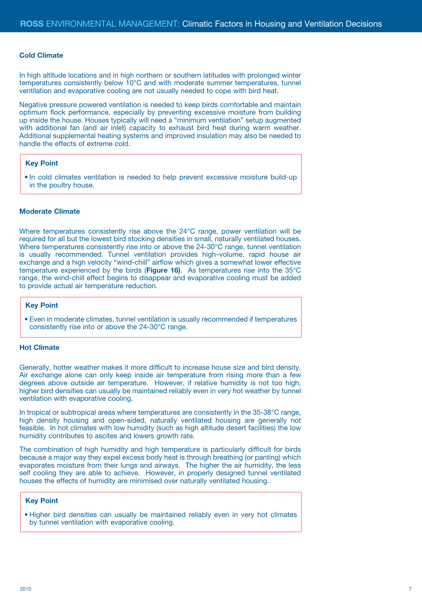#### **Cold Climate**

In high altitude locations and in high northern or southern latitudes with prolonged winter temperatures consistently below 10°C and with moderate summer temperatures, tunnel ventilation and evaporative cooling are not usually needed to cope with bird heat.

Negative pressure powered ventilation is needed to keep birds comfortable and maintain optimum flock performance, especially by preventing excessive moisture from building up inside the house. Houses typically will need a "minimum ventilation" setup augmented with additional fan (and air inlet) capacity to exhaust bird heat during warm weather. Additional supplemental heating systems and improved insulation may also be needed to handle the effects of extreme cold.

#### **Key Point**

• In cold climates ventilation is needed to help prevent excessive moisture build-up in the poultry house.

#### **Moderate Climate**

Where temperatures consistently rise above the 24°C range, power ventilation will be required for all but the lowest bird stocking densities in small, naturally ventilated houses. Where temperatures consistently rise into or above the 24-30°C range, tunnel ventilation is usually recommended. Tunnel ventilation provides high–volume, rapid house air exchange and a high velocity "wind-chill" airflow which gives a somewhat lower effective temperature experienced by the birds (**Figure 16)**. As temperatures rise into the 35°C range, the wind-chill effect begins to disappear and evaporative cooling must be added to provide actual air temperature reduction.

## **Key Point**

• Even in moderate climates, tunnel ventilation is usually recommended if temperatures consistently rise into or above the 24-30°C range.

## **Hot Climate**

Generally, hotter weather makes it more difficult to increase house size and bird density. Air exchange alone can only keep inside air temperature from rising more than a few degrees above outside air temperature. However, if relative humidity is not too high, higher bird densities can usually be maintained reliably even in very hot weather by tunnel ventilation with evaporative cooling.

In tropical or subtropical areas where temperatures are consistently in the 35-38°C range, high density housing and open-sided, naturally ventilated housing are generally not feasible. In hot climates with low humidity (such as high altitude desert facilities) the low humidity contributes to ascites and lowers growth rate.

The combination of high humidity and high temperature is particularly difficult for birds because a major way they expel excess body heat is through breathing (or panting) which evaporates moisture from their lungs and airways. The higher the air humidity, the less self cooling they are able to achieve. However, in properly designed tunnel ventilated houses the effects of humidity are minimised over naturally ventilated housing.

## **Key Point**

• Higher bird densities can usually be maintained reliably even in very hot climates by tunnel ventilation with evaporative cooling.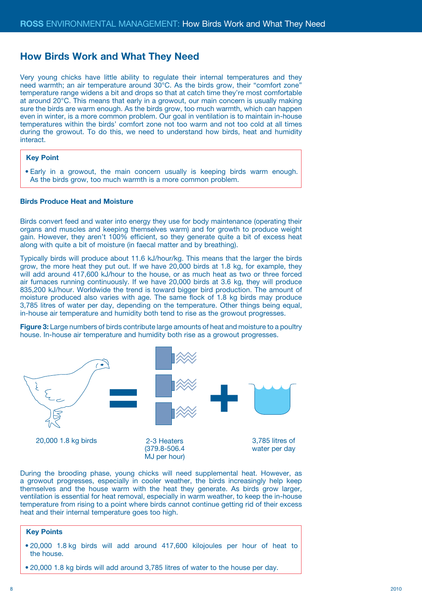## **How Birds Work and What They Need**

Very young chicks have little ability to regulate their internal temperatures and they need warmth; an air temperature around 30°C. As the birds grow, their "comfort zone" temperature range widens a bit and drops so that at catch time they're most comfortable at around 20°C. This means that early in a growout, our main concern is usually making sure the birds are warm enough. As the birds grow, too much warmth, which can happen even in winter, is a more common problem. Our goal in ventilation is to maintain in-house temperatures within the birds' comfort zone not too warm and not too cold at all times during the growout. To do this, we need to understand how birds, heat and humidity interact.

#### **Key Point**

• Early in a growout, the main concern usually is keeping birds warm enough. As the birds grow, too much warmth is a more common problem.

### **Birds Produce Heat and Moisture**

Birds convert feed and water into energy they use for body maintenance (operating their organs and muscles and keeping themselves warm) and for growth to produce weight gain. However, they aren't 100% efficient, so they generate quite a bit of excess heat along with quite a bit of moisture (in faecal matter and by breathing).

Typically birds will produce about 11.6 kJ/hour/kg. This means that the larger the birds grow, the more heat they put out. If we have 20,000 birds at 1.8 kg, for example, they will add around 417,600 kJ/hour to the house, or as much heat as two or three forced air furnaces running continuously. If we have 20,000 birds at 3.6 kg, they will produce 835,200 kJ/hour. Worldwide the trend is toward bigger bird production. The amount of moisture produced also varies with age. The same flock of 1.8 kg birds may produce 3,785 litres of water per day, depending on the temperature. Other things being equal, in-house air temperature and humidity both tend to rise as the growout progresses.

**Figure 3:** Large numbers of birds contribute large amounts of heat and moisture to a poultry house. In-house air temperature and humidity both rise as a growout progresses.



During the brooding phase, young chicks will need supplemental heat. However, as a growout progresses, especially in cooler weather, the birds increasingly help keep themselves and the house warm with the heat they generate. As birds grow larger, ventilation is essential for heat removal, especially in warm weather, to keep the in-house temperature from rising to a point where birds cannot continue getting rid of their excess heat and their internal temperature goes too high.

- 20,000 1.8 kg birds will add around 417,600 kilojoules per hour of heat to the house.
- 20,000 1.8 kg birds will add around 3,785 litres of water to the house per day.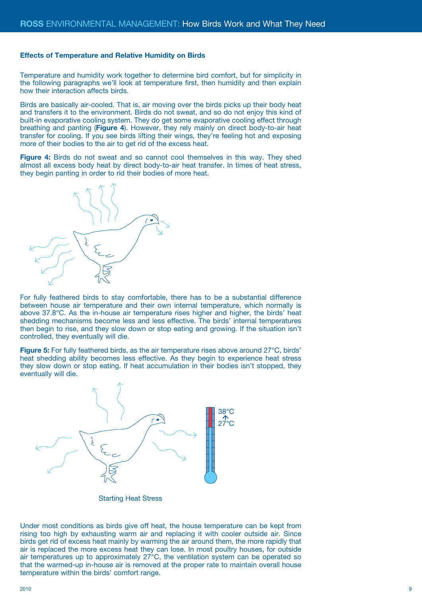#### **Effects of Temperature and Relative Humidity on Birds**

Temperature and humidity work together to determine bird comfort, but for simplicity in the following paragraphs we'll look at temperature first, then humidity and then explain how their interaction affects birds.

Birds are basically air-cooled. That is, air moving over the birds picks up their body heat and transfers it to the environment. Birds do not sweat, and so do not enjoy this kind of built-in evaporative cooling system. They do get some evaporative cooling effect through breathing and panting (**Figure 4**). However, they rely mainly on direct body-to-air heat transfer for cooling. If you see birds lifting their wings, they're feeling hot and exposing more of their bodies to the air to get rid of the excess heat.

**Figure 4:** Birds do not sweat and so cannot cool themselves in this way. They shed almost all excess body heat by direct body-to-air heat transfer. In times of heat stress, they begin panting in order to rid their bodies of more heat.



For fully feathered birds to stay comfortable, there has to be a substantial difference between house air temperature and their own internal temperature, which normally is above 37.8°C. As the in-house air temperature rises higher and higher, the birds' heat shedding mechanisms become less and less effective. The birds' internal temperatures then begin to rise, and they slow down or stop eating and growing. If the situation isn't controlled, they eventually will die.

**Figure 5:** For fully feathered birds, as the air temperature rises above around 27°C, birds' heat shedding ability becomes less effective. As they begin to experience heat stress they slow down or stop eating. If heat accumulation in their bodies isn't stopped, they eventually will die.



Starting Heat Stress

Under most conditions as birds give off heat, the house temperature can be kept from rising too high by exhausting warm air and replacing it with cooler outside air. Since birds get rid of excess heat mainly by warming the air around them, the more rapidly that air is replaced the more excess heat they can lose. In most poultry houses, for outside air temperatures up to approximately 27°C, the ventilation system can be operated so that the warmed-up in-house air is removed at the proper rate to maintain overall house temperature within the birds' comfort range.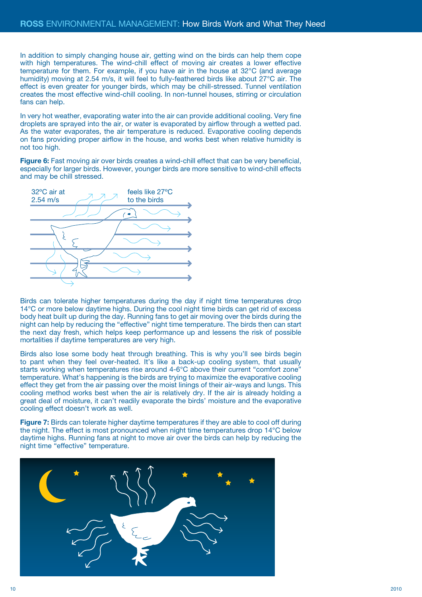In addition to simply changing house air, getting wind on the birds can help them cope with high temperatures. The wind-chill effect of moving air creates a lower effective temperature for them. For example, if you have air in the house at 32°C (and average humidity) moving at 2.54 m/s, it will feel to fully-feathered birds like about 27°C air. The effect is even greater for younger birds, which may be chill-stressed. Tunnel ventilation creates the most effective wind-chill cooling. In non-tunnel houses, stirring or circulation fans can help.

In very hot weather, evaporating water into the air can provide additional cooling. Very fine droplets are sprayed into the air, or water is evaporated by airflow through a wetted pad. As the water evaporates, the air temperature is reduced. Evaporative cooling depends on fans providing proper airflow in the house, and works best when relative humidity is not too high.

**Figure 6:** Fast moving air over birds creates a wind-chill effect that can be very beneficial. especially for larger birds. However, younger birds are more sensitive to wind-chill effects and may be chill stressed.



Birds can tolerate higher temperatures during the day if night time temperatures drop 14°C or more below daytime highs. During the cool night time birds can get rid of excess body heat built up during the day. Running fans to get air moving over the birds during the night can help by reducing the "effective" night time temperature. The birds then can start the next day fresh, which helps keep performance up and lessens the risk of possible mortalities if daytime temperatures are very high.

Birds also lose some body heat through breathing. This is why you'll see birds begin to pant when they feel over-heated. It's like a back-up cooling system, that usually starts working when temperatures rise around 4-6°C above their current "comfort zone" temperature. What's happening is the birds are trying to maximize the evaporative cooling effect they get from the air passing over the moist linings of their air-ways and lungs. This cooling method works best when the air is relatively dry. If the air is already holding a great deal of moisture, it can't readily evaporate the birds' moisture and the evaporative cooling effect doesn't work as well.

Figure 7: Birds can tolerate higher daytime temperatures if they are able to cool off during the night. The effect is most pronounced when night time temperatures drop 14°C below daytime highs. Running fans at night to move air over the birds can help by reducing the night time "effective" temperature.

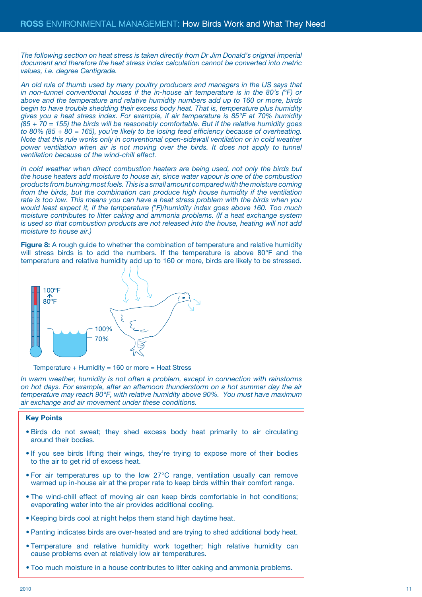*The following section on heat stress is taken directly from Dr Jim Donald's original imperial document and therefore the heat stress index calculation cannot be converted into metric values, i.e. degree Centigrade.* 

*An old rule of thumb used by many poultry producers and managers in the US says that in non-tunnel conventional houses if the in-house air temperature is in the 80's (°F) or above and the temperature and relative humidity numbers add up to 160 or more, birds begin to have trouble shedding their excess body heat. That is, temperature plus humidity gives you a heat stress index. For example, if air temperature is 85°F at 70% humidity (85 + 70 = 155) the birds will be reasonably comfortable. But if the relative humidity goes to 80% (85 + 80 = 165), you're likely to be losing feed efficiency because of overheating. Note that this rule works only in conventional open-sidewall ventilation or in cold weather power ventilation when air is not moving over the birds. It does not apply to tunnel ventilation because of the wind-chill effect.* 

*In cold weather when direct combustion heaters are being used, not only the birds but the house heaters add moisture to house air, since water vapour is one of the combustion products from burning most fuels. This is a small amount compared with the moisture coming from the birds, but the combination can produce high house humidity if the ventilation rate is too low. This means you can have a heat stress problem with the birds when you would least expect it, if the temperature (°F)/humidity index goes above 160. Too much moisture contributes to litter caking and ammonia problems. (If a heat exchange system is used so that combustion products are not released into the house, heating will not add moisture to house air.)*

**Figure 8:** A rough guide to whether the combination of temperature and relative humidity will stress birds is to add the numbers. If the temperature is above 80°F and the temperature and relative humidity add up to 160 or more, birds are likely to be stressed.



Temperature + Humidity = 160 or more = Heat Stress

*In warm weather, humidity is not often a problem, except in connection with rainstorms on hot days. For example, after an afternoon thunderstorm on a hot summer day the air temperature may reach 90°F, with relative humidity above 90%. You must have maximum air exchange and air movement under these conditions.*

- Birds do not sweat; they shed excess body heat primarily to air circulating around their bodies.
- If you see birds lifting their wings, they're trying to expose more of their bodies to the air to get rid of excess heat.
- For air temperatures up to the low 27°C range, ventilation usually can remove warmed up in-house air at the proper rate to keep birds within their comfort range.
- The wind-chill effect of moving air can keep birds comfortable in hot conditions; evaporating water into the air provides additional cooling.
- Keeping birds cool at night helps them stand high daytime heat.
- Panting indicates birds are over-heated and are trying to shed additional body heat.
- Temperature and relative humidity work together; high relative humidity can cause problems even at relatively low air temperatures.
- Too much moisture in a house contributes to litter caking and ammonia problems.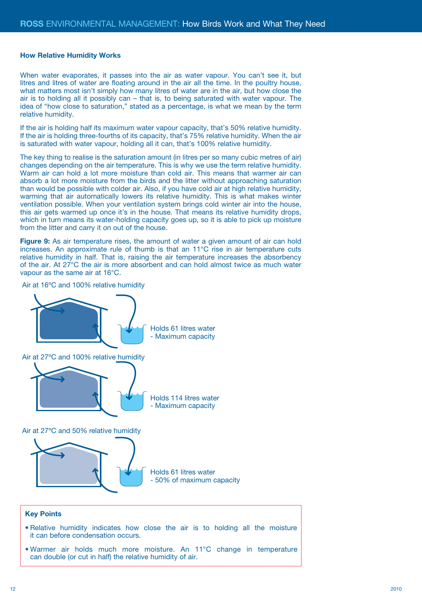#### **How Relative Humidity Works**

When water evaporates, it passes into the air as water vapour. You can't see it, but litres and litres of water are floating around in the air all the time. In the poultry house, what matters most isn't simply how many litres of water are in the air, but how close the air is to holding all it possibly can – that is, to being saturated with water vapour. The idea of "how close to saturation," stated as a percentage, is what we mean by the term relative humidity.

If the air is holding half its maximum water vapour capacity, that's 50% relative humidity. If the air is holding three-fourths of its capacity, that's 75% relative humidity. When the air is saturated with water vapour, holding all it can, that's 100% relative humidity.

The key thing to realise is the saturation amount (in litres per so many cubic metres of air) changes depending on the air temperature. This is why we use the term relative humidity. Warm air can hold a lot more moisture than cold air. This means that warmer air can absorb a lot more moisture from the birds and the litter without approaching saturation than would be possible with colder air. Also, if you have cold air at high relative humidity, warming that air automatically lowers its relative humidity. This is what makes winter ventilation possible. When your ventilation system brings cold winter air into the house, this air gets warmed up once it's in the house. That means its relative humidity drops, which in turn means its water-holding capacity goes up, so it is able to pick up moisture from the litter and carry it on out of the house.

Figure 9: As air temperature rises, the amount of water a given amount of air can hold increases. An approximate rule of thumb is that an 11°C rise in air temperature cuts relative humidity in half. That is, raising the air temperature increases the absorbency of the air. At 27°C the air is more absorbent and can hold almost twice as much water vapour as the same air at 16°C.

Air at 16ºC and 100% relative humidity

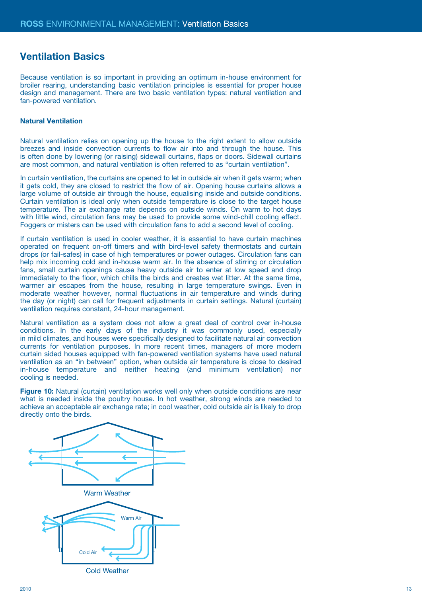## **Ventilation Basics**

Because ventilation is so important in providing an optimum in-house environment for broiler rearing, understanding basic ventilation principles is essential for proper house design and management. There are two basic ventilation types: natural ventilation and fan-powered ventilation.

## **Natural Ventilation**

Natural ventilation relies on opening up the house to the right extent to allow outside breezes and inside convection currents to flow air into and through the house. This is often done by lowering (or raising) sidewall curtains, flaps or doors. Sidewall curtains are most common, and natural ventilation is often referred to as "curtain ventilation".

In curtain ventilation, the curtains are opened to let in outside air when it gets warm; when it gets cold, they are closed to restrict the flow of air. Opening house curtains allows a large volume of outside air through the house, equalising inside and outside conditions. Curtain ventilation is ideal only when outside temperature is close to the target house temperature. The air exchange rate depends on outside winds. On warm to hot days with little wind, circulation fans may be used to provide some wind-chill cooling effect. Foggers or misters can be used with circulation fans to add a second level of cooling.

If curtain ventilation is used in cooler weather, it is essential to have curtain machines operated on frequent on-off timers and with bird-level safety thermostats and curtain drops (or fail-safes) in case of high temperatures or power outages. Circulation fans can help mix incoming cold and in-house warm air. In the absence of stirring or circulation fans, small curtain openings cause heavy outside air to enter at low speed and drop immediately to the floor, which chills the birds and creates wet litter. At the same time, warmer air escapes from the house, resulting in large temperature swings. Even in moderate weather however, normal fluctuations in air temperature and winds during the day (or night) can call for frequent adjustments in curtain settings. Natural (curtain) ventilation requires constant, 24-hour management.

Natural ventilation as a system does not allow a great deal of control over in-house conditions. In the early days of the industry it was commonly used, especially in mild climates, and houses were specifically designed to facilitate natural air convection currents for ventilation purposes. In more recent times, managers of more modern curtain sided houses equipped with fan-powered ventilation systems have used natural ventilation as an "in between" option, when outside air temperature is close to desired in-house temperature and neither heating (and minimum ventilation) nor cooling is needed.

**Figure 10:** Natural (curtain) ventilation works well only when outside conditions are near what is needed inside the poultry house. In hot weather, strong winds are needed to achieve an acceptable air exchange rate; in cool weather, cold outside air is likely to drop directly onto the birds.

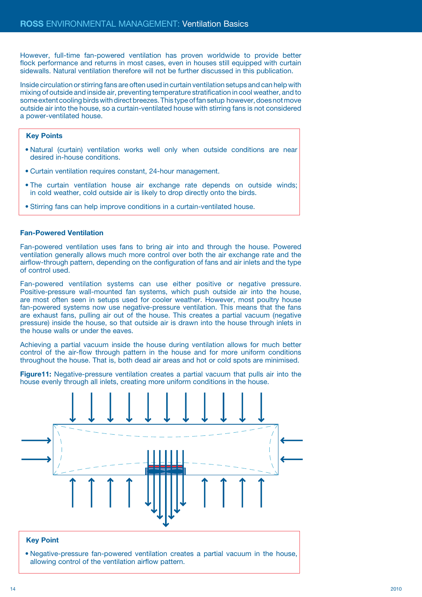However, full-time fan-powered ventilation has proven worldwide to provide better flock performance and returns in most cases, even in houses still equipped with curtain sidewalls. Natural ventilation therefore will not be further discussed in this publication.

Inside circulation or stirring fans are often used in curtain ventilation setups and can help with mixing of outside and inside air, preventing temperature stratification in cool weather, and to some extent cooling birds with direct breezes. This type of fan setup however, does not move outside air into the house, so a curtain-ventilated house with stirring fans is not considered a power-ventilated house.

## **Key Points**

- Natural (curtain) ventilation works well only when outside conditions are near desired in-house conditions.
- Curtain ventilation requires constant, 24-hour management.
- The curtain ventilation house air exchange rate depends on outside winds; in cold weather, cold outside air is likely to drop directly onto the birds.
- Stirring fans can help improve conditions in a curtain-ventilated house.

#### **Fan-Powered Ventilation**

Fan-powered ventilation uses fans to bring air into and through the house. Powered ventilation generally allows much more control over both the air exchange rate and the airflow-through pattern, depending on the configuration of fans and air inlets and the type of control used.

Fan-powered ventilation systems can use either positive or negative pressure. Positive-pressure wall-mounted fan systems, which push outside air into the house, are most often seen in setups used for cooler weather. However, most poultry house fan-powered systems now use negative-pressure ventilation. This means that the fans are exhaust fans, pulling air out of the house. This creates a partial vacuum (negative pressure) inside the house, so that outside air is drawn into the house through inlets in the house walls or under the eaves.

Achieving a partial vacuum inside the house during ventilation allows for much better control of the air-flow through pattern in the house and for more uniform conditions throughout the house. That is, both dead air areas and hot or cold spots are minimised.

**Figure11:** Negative-pressure ventilation creates a partial vacuum that pulls air into the house evenly through all inlets, creating more uniform conditions in the house.



## **Key Point**

• Negative-pressure fan-powered ventilation creates a partial vacuum in the house, allowing control of the ventilation airflow pattern.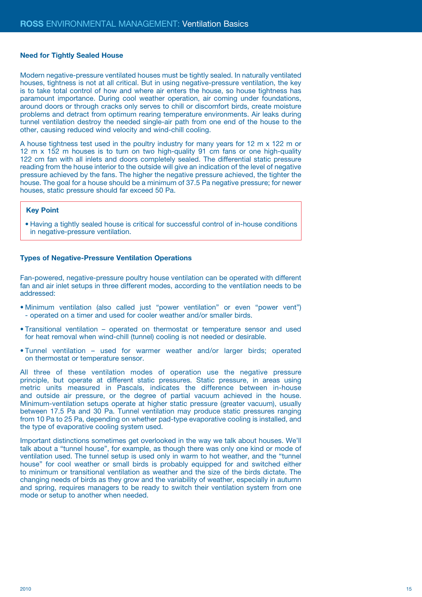#### **Need for Tightly Sealed House**

Modern negative-pressure ventilated houses must be tightly sealed. In naturally ventilated houses, tightness is not at all critical. But in using negative-pressure ventilation, the key is to take total control of how and where air enters the house, so house tightness has paramount importance. During cool weather operation, air coming under foundations, around doors or through cracks only serves to chill or discomfort birds, create moisture problems and detract from optimum rearing temperature environments. Air leaks during tunnel ventilation destroy the needed single-air path from one end of the house to the other, causing reduced wind velocity and wind-chill cooling.

A house tightness test used in the poultry industry for many years for 12 m x 122 m or 12 m x 152 m houses is to turn on two high-quality 91 cm fans or one high-quality 122 cm fan with all inlets and doors completely sealed. The differential static pressure reading from the house interior to the outside will give an indication of the level of negative pressure achieved by the fans. The higher the negative pressure achieved, the tighter the house. The goal for a house should be a minimum of 37.5 Pa negative pressure; for newer houses, static pressure should far exceed 50 Pa.

## **Key Point**

• Having a tightly sealed house is critical for successful control of in-house conditions in negative-pressure ventilation.

#### **Types of Negative-Pressure Ventilation Operations**

Fan-powered, negative-pressure poultry house ventilation can be operated with different fan and air inlet setups in three different modes, according to the ventilation needs to be addressed:

- Minimum ventilation (also called just "power ventilation" or even "power vent") - operated on a timer and used for cooler weather and/or smaller birds.
- Transitional ventilation operated on thermostat or temperature sensor and used for heat removal when wind-chill (tunnel) cooling is not needed or desirable.
- Tunnel ventilation used for warmer weather and/or larger birds; operated on thermostat or temperature sensor.

All three of these ventilation modes of operation use the negative pressure principle, but operate at different static pressures. Static pressure, in areas using metric units measured in Pascals, indicates the difference between in-house and outside air pressure, or the degree of partial vacuum achieved in the house. Minimum-ventilation setups operate at higher static pressure (greater vacuum), usually between 17.5 Pa and 30 Pa. Tunnel ventilation may produce static pressures ranging from 10 Pa to 25 Pa, depending on whether pad-type evaporative cooling is installed, and the type of evaporative cooling system used.

Important distinctions sometimes get overlooked in the way we talk about houses. We'll talk about a "tunnel house", for example, as though there was only one kind or mode of ventilation used. The tunnel setup is used only in warm to hot weather, and the "tunnel house" for cool weather or small birds is probably equipped for and switched either to minimum or transitional ventilation as weather and the size of the birds dictate. The changing needs of birds as they grow and the variability of weather, especially in autumn and spring, requires managers to be ready to switch their ventilation system from one mode or setup to another when needed.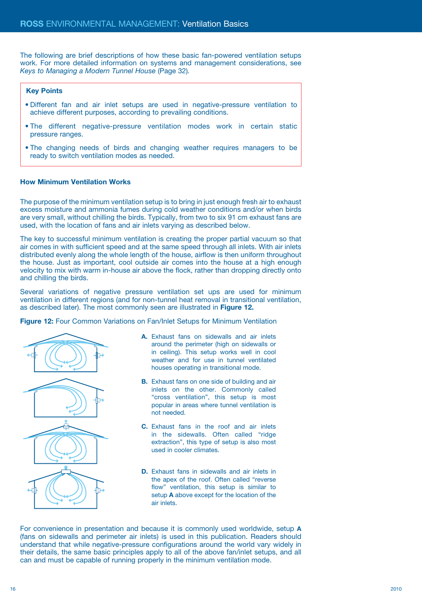The following are brief descriptions of how these basic fan-powered ventilation setups work. For more detailed information on systems and management considerations, see *Keys to Managing a Modern Tunnel House* (Page 32)*.* 

#### **Key Points**

- Different fan and air inlet setups are used in negative-pressure ventilation to achieve different purposes, according to prevailing conditions.
- The different negative-pressure ventilation modes work in certain static pressure ranges.
- The changing needs of birds and changing weather requires managers to be ready to switch ventilation modes as needed.

## **How Minimum Ventilation Works**

The purpose of the minimum ventilation setup is to bring in just enough fresh air to exhaust excess moisture and ammonia fumes during cold weather conditions and/or when birds are very small, without chilling the birds. Typically, from two to six 91 cm exhaust fans are used, with the location of fans and air inlets varying as described below.

The key to successful minimum ventilation is creating the proper partial vacuum so that air comes in with sufficient speed and at the same speed through all inlets. With air inlets distributed evenly along the whole length of the house, airflow is then uniform throughout the house. Just as important, cool outside air comes into the house at a high enough velocity to mix with warm in-house air above the flock, rather than dropping directly onto and chilling the birds.

Several variations of negative pressure ventilation set ups are used for minimum ventilation in different regions (and for non-tunnel heat removal in transitional ventilation, as described later). The most commonly seen are illustrated in **Figure 12.**

**Figure 12:** Four Common Variations on Fan/Inlet Setups for Minimum Ventilation



- **A.** Exhaust fans on sidewalls and air inlets around the perimeter (high on sidewalls or in ceiling). This setup works well in cool weather and for use in tunnel ventilated houses operating in transitional mode.
- **B.** Exhaust fans on one side of building and air inlets on the other. Commonly called "cross ventilation", this setup is most popular in areas where tunnel ventilation is not needed.
- **C.** Exhaust fans in the roof and air inlets in the sidewalls. Often called "ridge extraction", this type of setup is also most used in cooler climates.
- **D.** Exhaust fans in sidewalls and air inlets in the apex of the roof. Often called "reverse flow" ventilation, this setup is similar to setup **A** above except for the location of the air inlets.

For convenience in presentation and because it is commonly used worldwide, setup **A** (fans on sidewalls and perimeter air inlets) is used in this publication. Readers should understand that while negative-pressure configurations around the world vary widely in their details, the same basic principles apply to all of the above fan/inlet setups, and all can and must be capable of running properly in the minimum ventilation mode.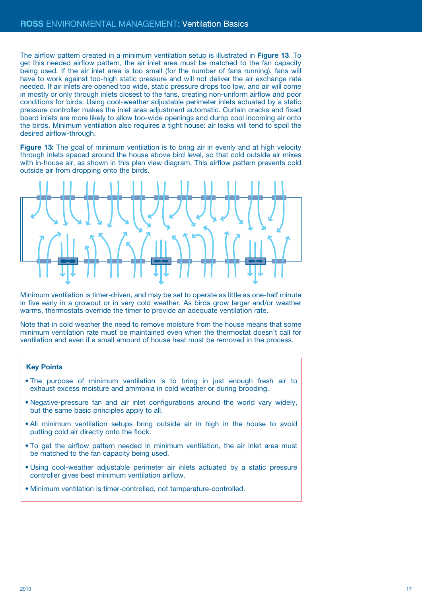The airflow pattern created in a minimum ventilation setup is illustrated in **Figure 13**. To get this needed airflow pattern, the air inlet area must be matched to the fan capacity being used. If the air inlet area is too small (for the number of fans running), fans will have to work against too-high static pressure and will not deliver the air exchange rate needed. If air inlets are opened too wide, static pressure drops too low, and air will come in mostly or only through inlets closest to the fans, creating non-uniform airflow and poor conditions for birds. Using cool-weather adjustable perimeter inlets actuated by a static pressure controller makes the inlet area adjustment automatic. Curtain cracks and fixed board inlets are more likely to allow too-wide openings and dump cool incoming air onto the birds. Minimum ventilation also requires a tight house: air leaks will tend to spoil the desired airflow-through.

**Figure 13:** The goal of minimum ventilation is to bring air in evenly and at high velocity through inlets spaced around the house above bird level, so that cold outside air mixes with in-house air, as shown in this plan view diagram. This airflow pattern prevents cold outside air from dropping onto the birds.



Minimum ventilation is timer-driven, and may be set to operate as little as one-half minute in five early in a growout or in very cold weather. As birds grow larger and/or weather warms, thermostats override the timer to provide an adequate ventilation rate.

Note that in cold weather the need to remove moisture from the house means that some minimum ventilation rate must be maintained even when the thermostat doesn't call for ventilation and even if a small amount of house heat must be removed in the process.

- The purpose of minimum ventilation is to bring in just enough fresh air to exhaust excess moisture and ammonia in cold weather or during brooding.
- Negative-pressure fan and air inlet configurations around the world vary widely, but the same basic principles apply to all.
- All minimum ventilation setups bring outside air in high in the house to avoid putting cold air directly onto the flock.
- To get the airflow pattern needed in minimum ventilation, the air inlet area must be matched to the fan capacity being used.
- Using cool-weather adjustable perimeter air inlets actuated by a static pressure controller gives best minimum ventilation airflow.
- Minimum ventilation is timer-controlled, not temperature-controlled.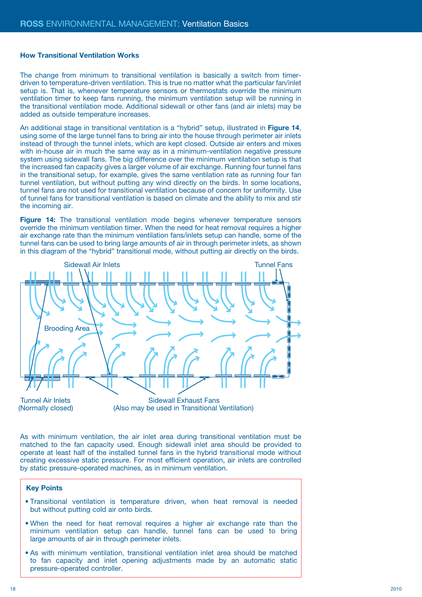#### **How Transitional Ventilation Works**

The change from minimum to transitional ventilation is basically a switch from timerdriven to temperature-driven ventilation. This is true no matter what the particular fan/inlet setup is. That is, whenever temperature sensors or thermostats override the minimum ventilation timer to keep fans running, the minimum ventilation setup will be running in the transitional ventilation mode. Additional sidewall or other fans (and air inlets) may be added as outside temperature increases.

An additional stage in transitional ventilation is a "hybrid" setup, illustrated in **Figure 14**, using some of the large tunnel fans to bring air into the house through perimeter air inlets instead of through the tunnel inlets, which are kept closed. Outside air enters and mixes with in-house air in much the same way as in a minimum-ventilation negative pressure system using sidewall fans. The big difference over the minimum ventilation setup is that the increased fan capacity gives a larger volume of air exchange. Running four tunnel fans in the transitional setup, for example, gives the same ventilation rate as running four fan tunnel ventilation, but without putting any wind directly on the birds. In some locations, tunnel fans are not used for transitional ventilation because of concern for uniformity. Use of tunnel fans for transitional ventilation is based on climate and the ability to mix and stir the incoming air.

**Figure 14:** The transitional ventilation mode begins whenever temperature sensors override the minimum ventilation timer. When the need for heat removal requires a higher air exchange rate than the minimum ventilation fans/inlets setup can handle, some of the tunnel fans can be used to bring large amounts of air in through perimeter inlets, as shown in this diagram of the "hybrid" transitional mode, without putting air directly on the birds.



Tunnel Air Inlets (Normally closed)

Sidewall Exhaust Fans (Also may be used in Transitional Ventilation)

As with minimum ventilation, the air inlet area during transitional ventilation must be matched to the fan capacity used. Enough sidewall inlet area should be provided to operate at least half of the installed tunnel fans in the hybrid transitional mode without creating excessive static pressure. For most efficient operation, air inlets are controlled by static pressure-operated machines, as in minimum ventilation.

- Transitional ventilation is temperature driven, when heat removal is needed but without putting cold air onto birds.
- When the need for heat removal requires a higher air exchange rate than the minimum ventilation setup can handle, tunnel fans can be used to bring large amounts of air in through perimeter inlets.
- As with minimum ventilation, transitional ventilation inlet area should be matched to fan capacity and inlet opening adjustments made by an automatic static pressure-operated controller.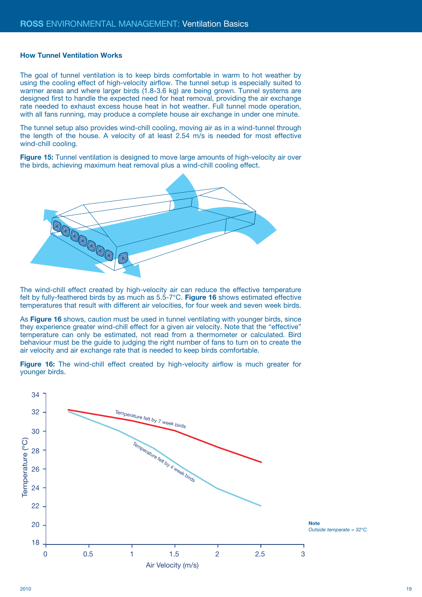#### **How Tunnel Ventilation Works**

The goal of tunnel ventilation is to keep birds comfortable in warm to hot weather by using the cooling effect of high-velocity airflow. The tunnel setup is especially suited to warmer areas and where larger birds (1.8-3.6 kg) are being grown. Tunnel systems are designed first to handle the expected need for heat removal, providing the air exchange rate needed to exhaust excess house heat in hot weather. Full tunnel mode operation, with all fans running, may produce a complete house air exchange in under one minute.

The tunnel setup also provides wind-chill cooling, moving air as in a wind-tunnel through the length of the house. A velocity of at least 2.54 m/s is needed for most effective wind-chill cooling.

**Figure 15:** Tunnel ventilation is designed to move large amounts of high-velocity air over the birds, achieving maximum heat removal plus a wind-chill cooling effect.



The wind-chill effect created by high-velocity air can reduce the effective temperature felt by fully-feathered birds by as much as 5.5-7°C. **Figure 16** shows estimated effective temperatures that result with different air velocities, for four week and seven week birds.

As **Figure 16** shows, caution must be used in tunnel ventilating with younger birds, since they experience greater wind-chill effect for a given air velocity. Note that the "effective" temperature can only be estimated, not read from a thermometer or calculated. Bird behaviour must be the guide to judging the right number of fans to turn on to create the air velocity and air exchange rate that is needed to keep birds comfortable.

**Figure 16:** The wind-chill effect created by high-velocity airflow is much greater for younger birds.

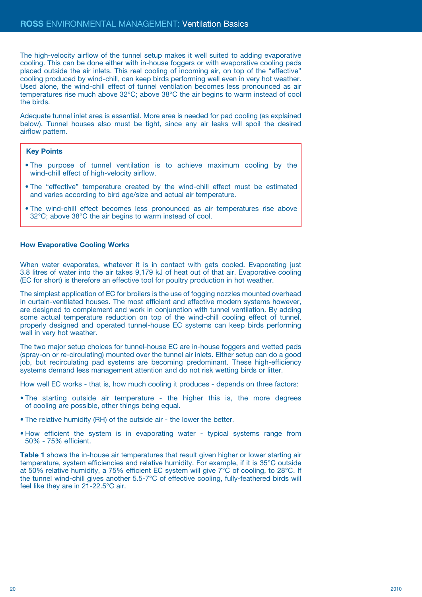The high-velocity airflow of the tunnel setup makes it well suited to adding evaporative cooling. This can be done either with in-house foggers or with evaporative cooling pads placed outside the air inlets. This real cooling of incoming air, on top of the "effective" cooling produced by wind-chill, can keep birds performing well even in very hot weather. Used alone, the wind-chill effect of tunnel ventilation becomes less pronounced as air temperatures rise much above 32°C; above 38°C the air begins to warm instead of cool the birds.

Adequate tunnel inlet area is essential. More area is needed for pad cooling (as explained below). Tunnel houses also must be tight, since any air leaks will spoil the desired airflow pattern.

## **Key Points**

- The purpose of tunnel ventilation is to achieve maximum cooling by the wind-chill effect of high-velocity airflow.
- The "effective" temperature created by the wind-chill effect must be estimated and varies according to bird age/size and actual air temperature.
- The wind-chill effect becomes less pronounced as air temperatures rise above 32°C; above 38°C the air begins to warm instead of cool.

#### **How Evaporative Cooling Works**

When water evaporates, whatever it is in contact with gets cooled. Evaporating just 3.8 litres of water into the air takes 9,179 kJ of heat out of that air. Evaporative cooling (EC for short) is therefore an effective tool for poultry production in hot weather.

The simplest application of EC for broilers is the use of fogging nozzles mounted overhead in curtain-ventilated houses. The most efficient and effective modern systems however, are designed to complement and work in conjunction with tunnel ventilation. By adding some actual temperature reduction on top of the wind-chill cooling effect of tunnel, properly designed and operated tunnel-house EC systems can keep birds performing well in very hot weather.

The two major setup choices for tunnel-house EC are in-house foggers and wetted pads (spray-on or re-circulating) mounted over the tunnel air inlets. Either setup can do a good job, but recirculating pad systems are becoming predominant. These high-efficiency systems demand less management attention and do not risk wetting birds or litter.

How well EC works - that is, how much cooling it produces - depends on three factors:

- The starting outside air temperature the higher this is, the more degrees of cooling are possible, other things being equal.
- The relative humidity (RH) of the outside air the lower the better.
- How efficient the system is in evaporating water typical systems range from 50% - 75% efficient.

**Table 1** shows the in-house air temperatures that result given higher or lower starting air temperature, system efficiencies and relative humidity. For example, if it is 35°C outside at 50% relative humidity, a 75% efficient EC system will give 7°C of cooling, to 28°C. If the tunnel wind-chill gives another 5.5-7°C of effective cooling, fully-feathered birds will feel like they are in 21-22.5°C air.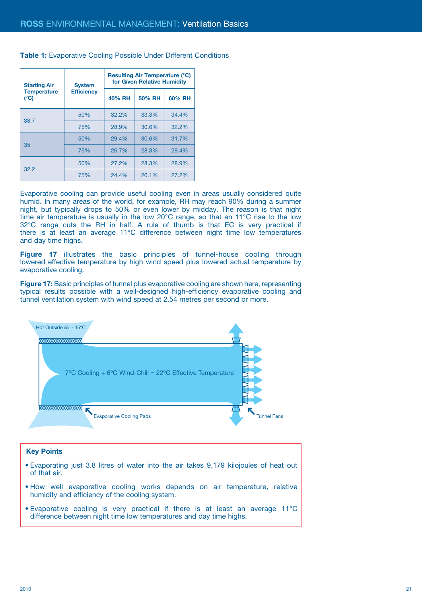| <b>Starting Air</b>       | <b>System</b><br><b>Efficiency</b> | <b>Resulting Air Temperature (°C)</b><br>for Given Relative Humidity |        |        |
|---------------------------|------------------------------------|----------------------------------------------------------------------|--------|--------|
| <b>Temperature</b><br>(C) |                                    | 40% RH                                                               | 50% RH | 60% RH |
|                           | 50%                                | 32.2%                                                                | 33.3%  | 34.4%  |
| 38.7                      | 75%                                | 28.9%                                                                | 30.6%  | 32.2%  |
| 35                        | 50%                                | 29.4%                                                                | 30.6%  | 31.7%  |
|                           | 75%                                | 26.7%                                                                | 28.3%  | 29.4%  |
| 32.2                      | 50%                                | 27.2%                                                                | 28.3%  | 28.9%  |
|                           | 75%                                | 24.4%                                                                | 26.1%  | 27.2%  |

**Table 1:** Evaporative Cooling Possible Under Different Conditions

Evaporative cooling can provide useful cooling even in areas usually considered quite humid. In many areas of the world, for example, RH may reach 90% during a summer night, but typically drops to 50% or even lower by midday. The reason is that night time air temperature is usually in the low 20°C range, so that an 11°C rise to the low 32°C range cuts the RH in half. A rule of thumb is that EC is very practical if there is at least an average 11°C difference between night time low temperatures and day time highs.

**Figure 17** illustrates the basic principles of tunnel-house cooling through lowered effective temperature by high wind speed plus lowered actual temperature by evaporative cooling.

**Figure 17:** Basic principles of tunnel plus evaporative cooling are shown here, representing typical results possible with a well-designed high-efficiency evaporative cooling and tunnel ventilation system with wind speed at 2.54 metres per second or more.



- Evaporating just 3.8 litres of water into the air takes 9,179 kilojoules of heat out of that air.
- How well evaporative cooling works depends on air temperature, relative humidity and efficiency of the cooling system.
- Evaporative cooling is very practical if there is at least an average 11°C difference between night time low temperatures and day time highs.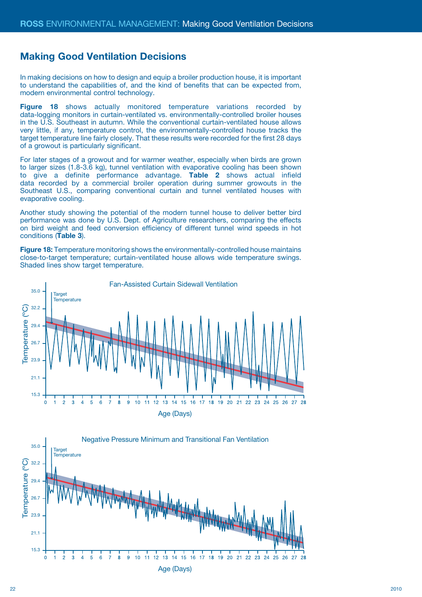## **Making Good Ventilation Decisions**

In making decisions on how to design and equip a broiler production house, it is important to understand the capabilities of, and the kind of benefits that can be expected from, modern environmental control technology.

**Figure 18** shows actually monitored temperature variations recorded by data-logging monitors in curtain-ventilated vs. environmentally-controlled broiler houses in the U.S. Southeast in autumn. While the conventional curtain-ventilated house allows very little, if any, temperature control, the environmentally-controlled house tracks the target temperature line fairly closely. That these results were recorded for the first 28 days of a growout is particularly significant.

For later stages of a growout and for warmer weather, especially when birds are grown to larger sizes (1.8-3.6 kg), tunnel ventilation with evaporative cooling has been shown to give a definite performance advantage. **Table 2** shows actual infield data recorded by a commercial broiler operation during summer growouts in the Southeast U.S., comparing conventional curtain and tunnel ventilated houses with evaporative cooling.

Another study showing the potential of the modern tunnel house to deliver better bird performance was done by U.S. Dept. of Agriculture researchers, comparing the effects on bird weight and feed conversion efficiency of different tunnel wind speeds in hot conditions (**Table 3**).

**Figure 18:** Temperature monitoring shows the environmentally-controlled house maintains close-to-target temperature; curtain-ventilated house allows wide temperature swings. Shaded lines show target temperature.



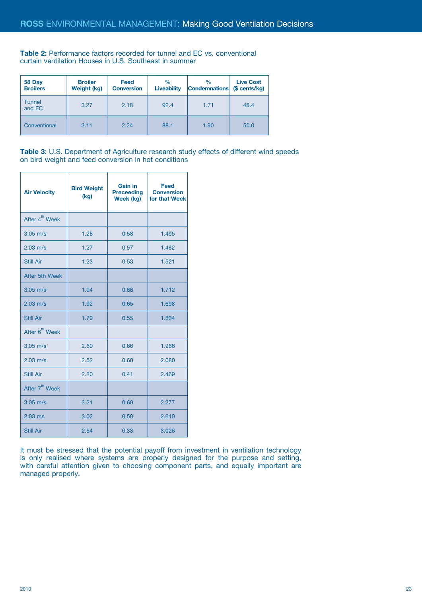**Table 2:** Performance factors recorded for tunnel and EC vs. conventional curtain ventilation Houses in U.S. Southeast in summer

| 58 Day<br><b>Broilers</b> | <b>Broiler</b><br>Weight (kg) | <b>Feed</b><br><b>Conversion</b> | $\%$<br><b>Liveability</b> | $\frac{9}{6}$<br><b>Condemnations</b> | <b>Live Cost</b><br>(\$ cents/kg) |
|---------------------------|-------------------------------|----------------------------------|----------------------------|---------------------------------------|-----------------------------------|
| Tunnel<br>and EC          | 3.27                          | 2.18                             | 92.4                       | 1.71                                  | 48.4                              |
| Conventional              | 3.11                          | 2.24                             | 88.1                       | 1.90                                  | 50.0                              |

**Table 3**: U.S. Department of Agriculture research study effects of different wind speeds on bird weight and feed conversion in hot conditions

| <b>Air Velocity</b>        | <b>Bird Weight</b><br>(kg) | <b>Gain in</b><br><b>Preceeding</b><br>Week (kg) | Feed<br><b>Conversion</b><br>for that Week |
|----------------------------|----------------------------|--------------------------------------------------|--------------------------------------------|
| After 4 <sup>th</sup> Week |                            |                                                  |                                            |
| $3.05$ m/s                 | 1.28                       | 0.58                                             | 1.495                                      |
| $2.03$ m/s                 | 1.27                       | 0.57                                             | 1.482                                      |
| <b>Still Air</b>           | 1.23                       | 0.53                                             | 1.521                                      |
| After 5th Week             |                            |                                                  |                                            |
| $3.05$ m/s                 | 1.94                       | 0.66                                             | 1.712                                      |
| $2.03 \text{ m/s}$         | 1.92                       | 0.65                                             | 1.698                                      |
| Still Air                  | 1.79                       | 0.55                                             | 1.804                                      |
| After 6 <sup>th</sup> Week |                            |                                                  |                                            |
| $3.05$ m/s                 | 2.60                       | 0.66                                             | 1.966                                      |
| $2.03 \text{ m/s}$         | 2.52                       | 0.60                                             | 2.080                                      |
| <b>Still Air</b>           | 2.20                       | 0.41                                             | 2.469                                      |
| After 7 <sup>th</sup> Week |                            |                                                  |                                            |
| $3.05$ m/s                 | 3.21                       | 0.60                                             | 2.277                                      |
| $2.03$ ms                  | 3.02                       | 0.50                                             | 2.610                                      |
| <b>Still Air</b>           | 2.54                       | 0.33                                             | 3.026                                      |

It must be stressed that the potential payoff from investment in ventilation technology is only realised where systems are properly designed for the purpose and setting, with careful attention given to choosing component parts, and equally important are managed properly.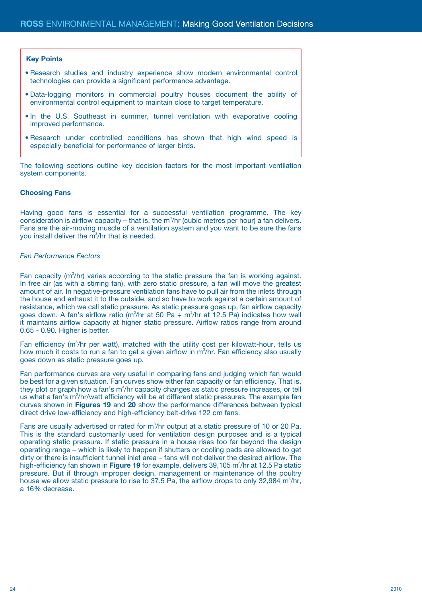#### **Key Points**

- Research studies and industry experience show modern environmental control technologies can provide a significant performance advantage.
- Data-logging monitors in commercial poultry houses document the ability of environmental control equipment to maintain close to target temperature.
- In the U.S. Southeast in summer, tunnel ventilation with evaporative cooling improved performance.
- Research under controlled conditions has shown that high wind speed is especially beneficial for performance of larger birds.

The following sections outline key decision factors for the most important ventilation system components.

## **Choosing Fans**

Having good fans is essential for a successful ventilation programme. The key consideration is airflow capacity  $-$  that is, the m<sup>3</sup>/hr (cubic metres per hour) a fan delivers. Fans are the air-moving muscle of a ventilation system and you want to be sure the fans you install deliver the m<sup>3</sup>/hr that is needed.

#### *Fan Performance Factors*

Fan capacity  $(m^3/hr)$  varies according to the static pressure the fan is working against. In free air (as with a stirring fan), with zero static pressure, a fan will move the greatest amount of air. In negative-pressure ventilation fans have to pull air from the inlets through the house and exhaust it to the outside, and so have to work against a certain amount of resistance, which we call static pressure. As static pressure goes up, fan airflow capacity goes down. A fan's airflow ratio (m<sup>3</sup>/hr at 50 Pa ÷ m<sup>3</sup>/hr at 12.5 Pa) indicates how well it maintains airflow capacity at higher static pressure. Airflow ratios range from around 0.65 - 0.90. Higher is better.

Fan efficiency  $(m^3/hr$  per watt), matched with the utility cost per kilowatt-hour, tells us how much it costs to run a fan to get a given airflow in  $m^3/hr$ . Fan efficiency also usually goes down as static pressure goes up.

Fan performance curves are very useful in comparing fans and judging which fan would be best for a given situation. Fan curves show either fan capacity or fan efficiency. That is, they plot or graph how a fan's  $m^3/hr$  capacity changes as static pressure increases, or tell us what a fan's m<sup>3</sup>/hr/watt efficiency will be at different static pressures. The example fan curves shown in **Figures 19** and **20** show the performance differences between typical direct drive low-efficiency and high-efficiency belt-drive 122 cm fans.

Fans are usually advertised or rated for  $m^3$ /hr output at a static pressure of 10 or 20 Pa. This is the standard customarily used for ventilation design purposes and is a typical operating static pressure. If static pressure in a house rises too far beyond the design operating range – which is likely to happen if shutters or cooling pads are allowed to get dirty or there is insufficient tunnel inlet area – fans will not deliver the desired airflow. The high-efficiency fan shown in Figure 19 for example, delivers 39,105 m<sup>3</sup>/hr at 12.5 Pa static pressure. But if through improper design, management or maintenance of the poultry house we allow static pressure to rise to 37.5 Pa, the airflow drops to only 32,984  $m^3$ /hr, a 16% decrease.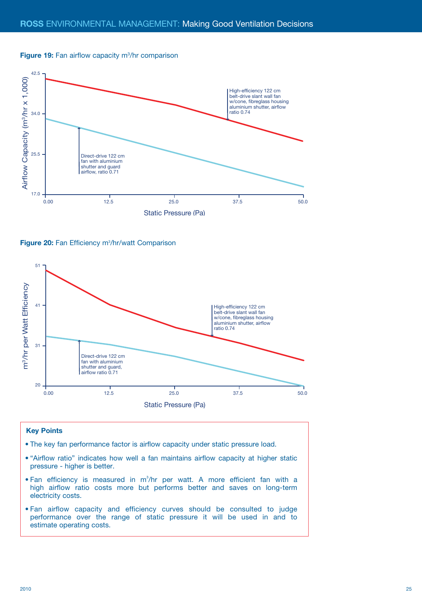



Figure 20: Fan Efficiency m<sup>3</sup>/hr/watt Comparison



- The key fan performance factor is airflow capacity under static pressure load.
- "Airflow ratio" indicates how well a fan maintains airflow capacity at higher static pressure - higher is better.
- Fan efficiency is measured in  $m^3/hr$  per watt. A more efficient fan with a high airflow ratio costs more but performs better and saves on long-term electricity costs.
- Fan airflow capacity and efficiency curves should be consulted to judge performance over the range of static pressure it will be used in and to estimate operating costs.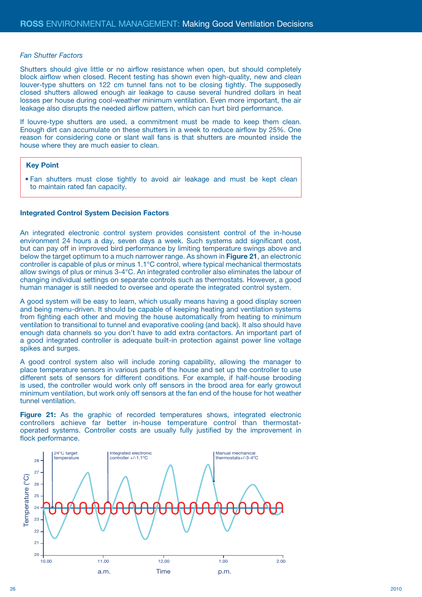#### *Fan Shutter Factors*

Shutters should give little or no airflow resistance when open, but should completely block airflow when closed. Recent testing has shown even high-quality, new and clean louver-type shutters on 122 cm tunnel fans not to be closing tightly. The supposedly closed shutters allowed enough air leakage to cause several hundred dollars in heat losses per house during cool-weather minimum ventilation. Even more important, the air leakage also disrupts the needed airflow pattern, which can hurt bird performance.

If louvre-type shutters are used, a commitment must be made to keep them clean. Enough dirt can accumulate on these shutters in a week to reduce airflow by 25%. One reason for considering cone or slant wall fans is that shutters are mounted inside the house where they are much easier to clean.

#### **Key Point**

• Fan shutters must close tightly to avoid air leakage and must be kept clean to maintain rated fan capacity.

## **Integrated Control System Decision Factors**

An integrated electronic control system provides consistent control of the in-house environment 24 hours a day, seven days a week. Such systems add significant cost, but can pay off in improved bird performance by limiting temperature swings above and below the target optimum to a much narrower range. As shown in **Figure 21**, an electronic controller is capable of plus or minus 1.1°C control, where typical mechanical thermostats allow swings of plus or minus 3-4°C. An integrated controller also eliminates the labour of changing individual settings on separate controls such as thermostats. However, a good human manager is still needed to oversee and operate the integrated control system.

A good system will be easy to learn, which usually means having a good display screen and being menu-driven. It should be capable of keeping heating and ventilation systems from fighting each other and moving the house automatically from heating to minimum ventilation to transitional to tunnel and evaporative cooling (and back). It also should have enough data channels so you don't have to add extra contactors. An important part of a good integrated controller is adequate built-in protection against power line voltage spikes and surges.

A good control system also will include zoning capability, allowing the manager to place temperature sensors in various parts of the house and set up the controller to use different sets of sensors for different conditions. For example, if half-house brooding is used, the controller would work only off sensors in the brood area for early growout minimum ventilation, but work only off sensors at the fan end of the house for hot weather tunnel ventilation.

**Figure 21:** As the graphic of recorded temperatures shows, integrated electronic controllers achieve far better in-house temperature control than thermostatoperated systems. Controller costs are usually fully justified by the improvement in flock performance.

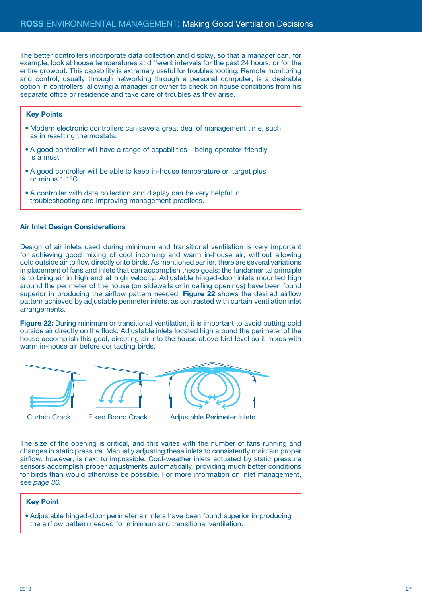The better controllers incorporate data collection and display, so that a manager can, for example, look at house temperatures at different intervals for the past 24 hours, or for the entire growout. This capability is extremely useful for troubleshooting. Remote monitoring and control, usually through networking through a personal computer, is a desirable option in controllers, allowing a manager or owner to check on house conditions from his separate office or residence and take care of troubles as they arise.

## **Key Points**

- Modern electronic controllers can save a great deal of management time, such as in resetting thermostats.
- A good controller will have a range of capabilities being operator-friendly is a must.
- A good controller will be able to keep in-house temperature on target plus or minus 1.1°C.
- A controller with data collection and display can be very helpful in troubleshooting and improving management practices.

## **Air Inlet Design Considerations**

Design of air inlets used during minimum and transitional ventilation is very important for achieving good mixing of cool incoming and warm in-house air, without allowing cold outside air to flow directly onto birds. As mentioned earlier, there are several variations in placement of fans and inlets that can accomplish these goals; the fundamental principle is to bring air in high and at high velocity. Adjustable hinged-door inlets mounted high around the perimeter of the house (on sidewalls or in ceiling openings) have been found superior in producing the airflow pattern needed. **Figure 22** shows the desired airflow pattern achieved by adjustable perimeter inlets, as contrasted with curtain ventilation inlet arrangements.

**Figure 22:** During minimum or transitional ventilation, it is important to avoid putting cold outside air directly on the flock. Adjustable inlets located high around the perimeter of the house accomplish this goal, directing air into the house above bird level so it mixes with warm in-house air before contacting birds.





Curtain Crack Fixed Board Crack Adjustable Perimeter Inlets

The size of the opening is critical, and this varies with the number of fans running and changes in static pressure. Manually adjusting these inlets to consistently maintain proper airflow, however, is next to impossible. Cool-weather inlets actuated by static pressure sensors accomplish proper adjustments automatically, providing much better conditions for birds than would otherwise be possible. For more information on inlet management, see *page 36.*

## **Key Point**

• Adjustable hinged-door perimeter air inlets have been found superior in producing the airflow pattern needed for minimum and transitional ventilation.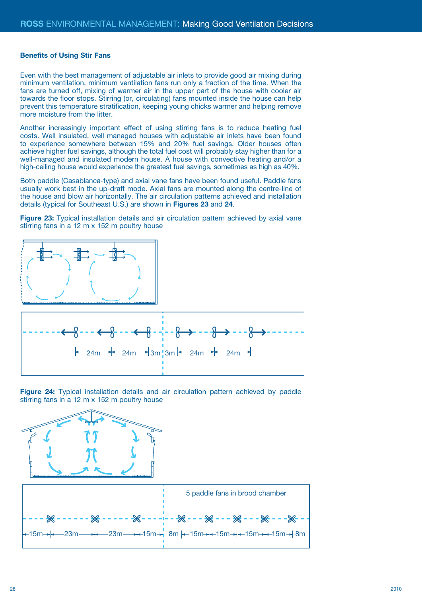#### **Benefits of Using Stir Fans**

Even with the best management of adjustable air inlets to provide good air mixing during minimum ventilation, minimum ventilation fans run only a fraction of the time. When the fans are turned off, mixing of warmer air in the upper part of the house with cooler air towards the floor stops. Stirring (or, circulating) fans mounted inside the house can help prevent this temperature stratification, keeping young chicks warmer and helping remove more moisture from the litter.

Another increasingly important effect of using stirring fans is to reduce heating fuel costs. Well insulated, well managed houses with adjustable air inlets have been found to experience somewhere between 15% and 20% fuel savings. Older houses often achieve higher fuel savings, although the total fuel cost will probably stay higher than for a well-managed and insulated modern house. A house with convective heating and/or a high-ceiling house would experience the greatest fuel savings, sometimes as high as 40%.

Both paddle (Casablanca-type) and axial vane fans have been found useful. Paddle fans usually work best in the up-draft mode. Axial fans are mounted along the centre-line of the house and blow air horizontally. The air circulation patterns achieved and installation details (typical for Southeast U.S.) are shown in **Figures 23** and **24**.

**Figure 23:** Typical installation details and air circulation pattern achieved by axial vane stirring fans in a 12 m x 152 m poultry house



**Figure 24:** Typical installation details and air circulation pattern achieved by paddle stirring fans in a 12 m x 152 m poultry house

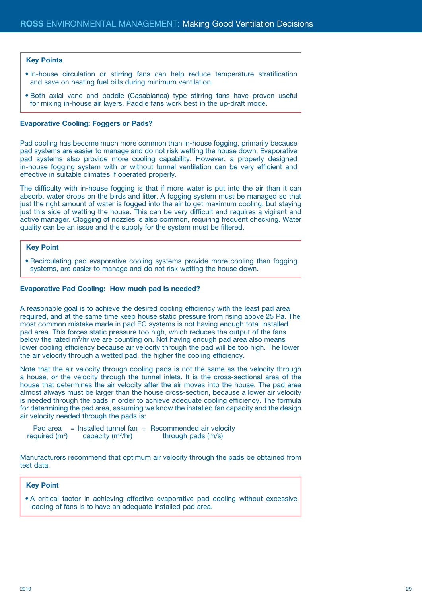### **Key Points**

- In-house circulation or stirring fans can help reduce temperature stratification and save on heating fuel bills during minimum ventilation.
- Both axial vane and paddle (Casablanca) type stirring fans have proven useful for mixing in-house air layers. Paddle fans work best in the up-draft mode.

#### **Evaporative Cooling: Foggers or Pads?**

Pad cooling has become much more common than in-house fogging, primarily because pad systems are easier to manage and do not risk wetting the house down. Evaporative pad systems also provide more cooling capability. However, a properly designed in-house fogging system with or without tunnel ventilation can be very efficient and effective in suitable climates if operated properly.

The difficulty with in-house fogging is that if more water is put into the air than it can absorb, water drops on the birds and litter. A fogging system must be managed so that just the right amount of water is fogged into the air to get maximum cooling, but staying just this side of wetting the house. This can be very difficult and requires a vigilant and active manager. Clogging of nozzles is also common, requiring frequent checking. Water quality can be an issue and the supply for the system must be filtered.

#### **Key Point**

• Recirculating pad evaporative cooling systems provide more cooling than fogging systems, are easier to manage and do not risk wetting the house down.

#### **Evaporative Pad Cooling: How much pad is needed?**

A reasonable goal is to achieve the desired cooling efficiency with the least pad area required, and at the same time keep house static pressure from rising above 25 Pa. The most common mistake made in pad EC systems is not having enough total installed pad area. This forces static pressure too high, which reduces the output of the fans below the rated  $m^3/hr$  we are counting on. Not having enough pad area also means lower cooling efficiency because air velocity through the pad will be too high. The lower the air velocity through a wetted pad, the higher the cooling efficiency.

Note that the air velocity through cooling pads is not the same as the velocity through a house, or the velocity through the tunnel inlets. It is the cross-sectional area of the house that determines the air velocity after the air moves into the house. The pad area almost always must be larger than the house cross-section, because a lower air velocity is needed through the pads in order to achieve adequate cooling efficiency. The formula for determining the pad area, assuming we know the installed fan capacity and the design air velocity needed through the pads is:

Pad area = Installed tunnel fan  $\div$  Recommended air velocity required (m<sup>2</sup>) capacity (m<sup>3</sup>/hr) through pads (m/s)

Manufacturers recommend that optimum air velocity through the pads be obtained from test data.

### **Key Point**

• A critical factor in achieving effective evaporative pad cooling without excessive loading of fans is to have an adequate installed pad area.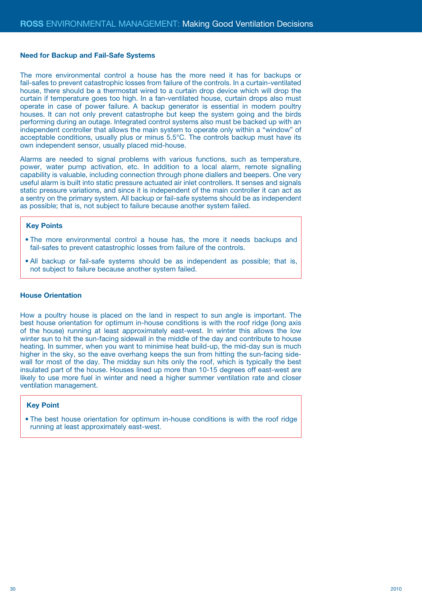#### **Need for Backup and Fail-Safe Systems**

The more environmental control a house has the more need it has for backups or fail-safes to prevent catastrophic losses from failure of the controls. In a curtain-ventilated house, there should be a thermostat wired to a curtain drop device which will drop the curtain if temperature goes too high. In a fan-ventilated house, curtain drops also must operate in case of power failure. A backup generator is essential in modern poultry houses. It can not only prevent catastrophe but keep the system going and the birds performing during an outage. Integrated control systems also must be backed up with an independent controller that allows the main system to operate only within a "window" of acceptable conditions, usually plus or minus 5.5°C. The controls backup must have its own independent sensor, usually placed mid-house.

Alarms are needed to signal problems with various functions, such as temperature, power, water pump activation, etc. In addition to a local alarm, remote signalling capability is valuable, including connection through phone diallers and beepers. One very useful alarm is built into static pressure actuated air inlet controllers. It senses and signals static pressure variations, and since it is independent of the main controller it can act as a sentry on the primary system. All backup or fail-safe systems should be as independent as possible; that is, not subject to failure because another system failed.

## **Key Points**

- The more environmental control a house has, the more it needs backups and fail-safes to prevent catastrophic losses from failure of the controls.
- All backup or fail-safe systems should be as independent as possible; that is, not subject to failure because another system failed.

#### **House Orientation**

How a poultry house is placed on the land in respect to sun angle is important. The best house orientation for optimum in-house conditions is with the roof ridge (long axis of the house) running at least approximately east-west. In winter this allows the low winter sun to hit the sun-facing sidewall in the middle of the day and contribute to house heating. In summer, when you want to minimise heat build-up, the mid-day sun is much higher in the sky, so the eave overhang keeps the sun from hitting the sun-facing sidewall for most of the day. The midday sun hits only the roof, which is typically the best insulated part of the house. Houses lined up more than 10-15 degrees off east-west are likely to use more fuel in winter and need a higher summer ventilation rate and closer ventilation management.

#### **Key Point**

• The best house orientation for optimum in-house conditions is with the roof ridge running at least approximately east-west.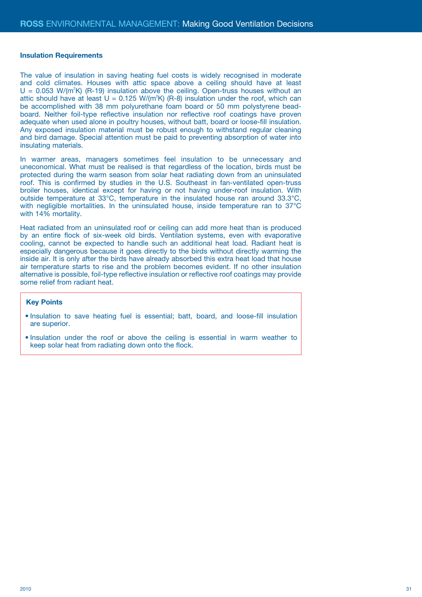#### **Insulation Requirements**

The value of insulation in saving heating fuel costs is widely recognised in moderate and cold climates. Houses with attic space above a ceiling should have at least  $U = 0.053$  W/( $m^2K$ ) (R-19) insulation above the ceiling. Open-truss houses without an attic should have at least  $U = 0.125 W/(m^2 K)$  (R-8) insulation under the roof, which can be accomplished with 38 mm polyurethane foam board or 50 mm polystyrene beadboard. Neither foil-type reflective insulation nor reflective roof coatings have proven adequate when used alone in poultry houses, without batt, board or loose-fill insulation. Any exposed insulation material must be robust enough to withstand regular cleaning and bird damage. Special attention must be paid to preventing absorption of water into insulating materials.

In warmer areas, managers sometimes feel insulation to be unnecessary and uneconomical. What must be realised is that regardless of the location, birds must be protected during the warm season from solar heat radiating down from an uninsulated roof. This is confirmed by studies in the U.S. Southeast in fan-ventilated open-truss broiler houses, identical except for having or not having under-roof insulation. With outside temperature at 33°C, temperature in the insulated house ran around 33.3°C, with negligible mortalities. In the uninsulated house, inside temperature ran to 37°C with 14% mortality.

Heat radiated from an uninsulated roof or ceiling can add more heat than is produced by an entire flock of six-week old birds. Ventilation systems, even with evaporative cooling, cannot be expected to handle such an additional heat load. Radiant heat is especially dangerous because it goes directly to the birds without directly warming the inside air. It is only after the birds have already absorbed this extra heat load that house air temperature starts to rise and the problem becomes evident. If no other insulation alternative is possible, foil-type reflective insulation or reflective roof coatings may provide some relief from radiant heat.

- Insulation to save heating fuel is essential; batt, board, and loose-fill insulation are superior.
- Insulation under the roof or above the ceiling is essential in warm weather to keep solar heat from radiating down onto the flock.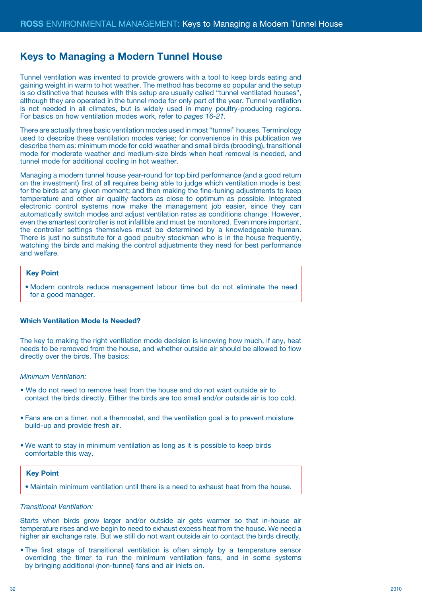## **Keys to Managing a Modern Tunnel House**

Tunnel ventilation was invented to provide growers with a tool to keep birds eating and gaining weight in warm to hot weather. The method has become so popular and the setup is so distinctive that houses with this setup are usually called "tunnel ventilated houses", although they are operated in the tunnel mode for only part of the year. Tunnel ventilation is not needed in all climates, but is widely used in many poultry-producing regions. For basics on how ventilation modes work, refer to *pages 16-21.*

There are actually three basic ventilation modes used in most "tunnel" houses. Terminology used to describe these ventilation modes varies; for convenience in this publication we describe them as: minimum mode for cold weather and small birds (brooding), transitional mode for moderate weather and medium-size birds when heat removal is needed, and tunnel mode for additional cooling in hot weather.

Managing a modern tunnel house year-round for top bird performance (and a good return on the investment) first of all requires being able to judge which ventilation mode is best for the birds at any given moment; and then making the fine-tuning adjustments to keep temperature and other air quality factors as close to optimum as possible. Integrated electronic control systems now make the management job easier, since they can automatically switch modes and adjust ventilation rates as conditions change. However, even the smartest controller is not infallible and must be monitored. Even more important, the controller settings themselves must be determined by a knowledgeable human. There is just no substitute for a good poultry stockman who is in the house frequently, watching the birds and making the control adjustments they need for best performance and welfare.

#### **Key Point**

• Modern controls reduce management labour time but do not eliminate the need for a good manager.

#### **Which Ventilation Mode Is Needed?**

The key to making the right ventilation mode decision is knowing how much, if any, heat needs to be removed from the house, and whether outside air should be allowed to flow directly over the birds. The basics:

## *Minimum Ventilation:*

- We do not need to remove heat from the house and do not want outside air to contact the birds directly. Either the birds are too small and/or outside air is too cold.
- Fans are on a timer, not a thermostat, and the ventilation goal is to prevent moisture build-up and provide fresh air.
- We want to stay in minimum ventilation as long as it is possible to keep birds comfortable this way.

## **Key Point**

• Maintain minimum ventilation until there is a need to exhaust heat from the house.

#### *Transitional Ventilation:*

Starts when birds grow larger and/or outside air gets warmer so that in-house air temperature rises and we begin to need to exhaust excess heat from the house. We need a higher air exchange rate. But we still do not want outside air to contact the birds directly.

• The first stage of transitional ventilation is often simply by a temperature sensor overriding the timer to run the minimum ventilation fans, and in some systems by bringing additional (non-tunnel) fans and air inlets on.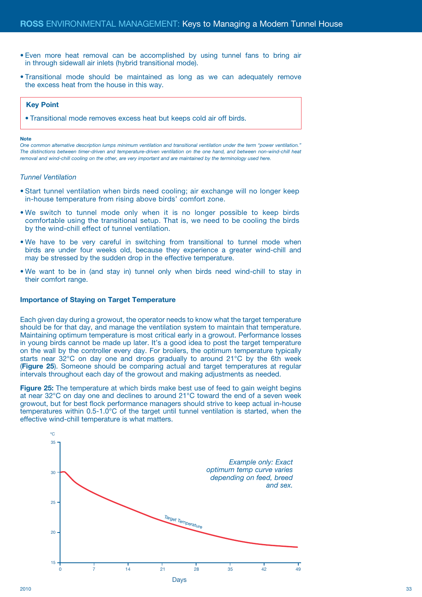- Even more heat removal can be accomplished by using tunnel fans to bring air in through sidewall air inlets (hybrid transitional mode).
- Transitional mode should be maintained as long as we can adequately remove the excess heat from the house in this way.

#### **Key Point**

• Transitional mode removes excess heat but keeps cold air off birds.

#### **Note**

*One common alternative description lumps minimum ventilation and transitional ventilation under the term "power ventilation." The distinctions between timer-driven and temperature-driven ventilation on the one hand, and between non-wind-chill heat*  removal and wind-chill cooling on the other, are very important and are maintained by the terminology used here.

#### *Tunnel Ventilation*

- Start tunnel ventilation when birds need cooling; air exchange will no longer keep in-house temperature from rising above birds' comfort zone.
- We switch to tunnel mode only when it is no longer possible to keep birds comfortable using the transitional setup. That is, we need to be cooling the birds by the wind-chill effect of tunnel ventilation.
- We have to be very careful in switching from transitional to tunnel mode when birds are under four weeks old, because they experience a greater wind-chill and may be stressed by the sudden drop in the effective temperature.
- We want to be in (and stay in) tunnel only when birds need wind-chill to stay in their comfort range.

#### **Importance of Staying on Target Temperature**

Each given day during a growout, the operator needs to know what the target temperature should be for that day, and manage the ventilation system to maintain that temperature. Maintaining optimum temperature is most critical early in a growout. Performance losses in young birds cannot be made up later. It's a good idea to post the target temperature on the wall by the controller every day. For broilers, the optimum temperature typically starts near 32°C on day one and drops gradually to around 21°C by the 6th week (**Figure 25**). Someone should be comparing actual and target temperatures at regular intervals throughout each day of the growout and making adjustments as needed.

**Figure 25:** The temperature at which birds make best use of feed to gain weight begins at near 32°C on day one and declines to around 21°C toward the end of a seven week growout, but for best flock performance managers should strive to keep actual in-house temperatures within 0.5-1.0°C of the target until tunnel ventilation is started, when the effective wind-chill temperature is what matters.

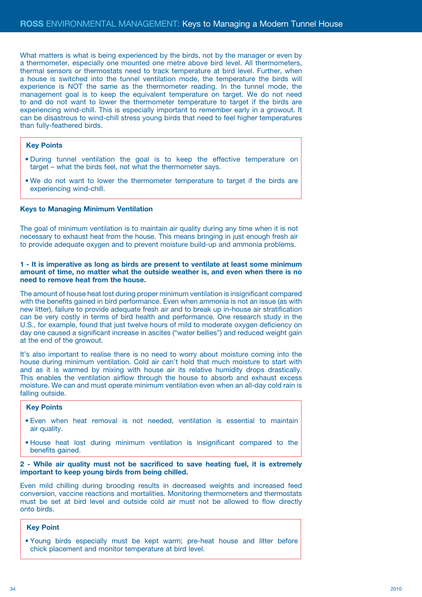What matters is what is being experienced by the birds, not by the manager or even by a thermometer, especially one mounted one metre above bird level. All thermometers, thermal sensors or thermostats need to track temperature at bird level. Further, when a house is switched into the tunnel ventilation mode, the temperature the birds will experience is NOT the same as the thermometer reading. In the tunnel mode, the management goal is to keep the equivalent temperature on target. We do not need to and do not want to lower the thermometer temperature to target if the birds are experiencing wind-chill. This is especially important to remember early in a growout. It can be disastrous to wind-chill stress young birds that need to feel higher temperatures than fully-feathered birds.

#### **Key Points**

- During tunnel ventilation the goal is to keep the effective temperature on target – what the birds feel, not what the thermometer says.
- We do not want to lower the thermometer temperature to target if the birds are experiencing wind-chill.

### **Keys to Managing Minimum Ventilation**

The goal of minimum ventilation is to maintain air quality during any time when it is not necessary to exhaust heat from the house. This means bringing in just enough fresh air to provide adequate oxygen and to prevent moisture build-up and ammonia problems.

#### **1 - It is imperative as long as birds are present to ventilate at least some minimum amount of time, no matter what the outside weather is, and even when there is no need to remove heat from the house.**

The amount of house heat lost during proper minimum ventilation is insignificant compared with the benefits gained in bird performance. Even when ammonia is not an issue (as with new litter), failure to provide adequate fresh air and to break up in-house air stratification can be very costly in terms of bird health and performance. One research study in the U.S., for example, found that just twelve hours of mild to moderate oxygen deficiency on day one caused a significant increase in ascites ("water bellies") and reduced weight gain at the end of the growout.

It's also important to realise there is no need to worry about moisture coming into the house during minimum ventilation. Cold air can't hold that much moisture to start with and as it is warmed by mixing with house air its relative humidity drops drastically. This enables the ventilation airflow through the house to absorb and exhaust excess moisture. We can and must operate minimum ventilation even when an all-day cold rain is falling outside.

#### **Key Points**

- Even when heat removal is not needed, ventilation is essential to maintain air quality.
- House heat lost during minimum ventilation is insignificant compared to the benefits gained.

#### **2 - While air quality must not be sacrificed to save heating fuel, it is extremely important to keep young birds from being chilled.**

Even mild chilling during brooding results in decreased weights and increased feed conversion, vaccine reactions and mortalities. Monitoring thermometers and thermostats must be set at bird level and outside cold air must not be allowed to flow directly onto birds.

#### **Key Point**

• Young birds especially must be kept warm; pre-heat house and litter before chick placement and monitor temperature at bird level.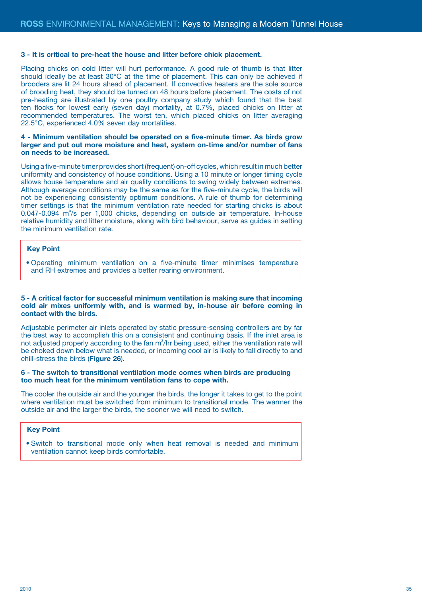#### **3 - It is critical to pre-heat the house and litter before chick placement.**

Placing chicks on cold litter will hurt performance. A good rule of thumb is that litter should ideally be at least 30°C at the time of placement. This can only be achieved if brooders are lit 24 hours ahead of placement. If convective heaters are the sole source of brooding heat, they should be turned on 48 hours before placement. The costs of not pre-heating are illustrated by one poultry company study which found that the best ten flocks for lowest early (seven day) mortality, at 0.7%, placed chicks on litter at recommended temperatures. The worst ten, which placed chicks on litter averaging 22.5°C, experienced 4.0% seven day mortalities.

#### **4 - Minimum ventilation should be operated on a five-minute timer. As birds grow larger and put out more moisture and heat, system on-time and/or number of fans on needs to be increased.**

Using a five-minute timer provides short (frequent) on-off cycles, which result in much better uniformity and consistency of house conditions. Using a 10 minute or longer timing cycle allows house temperature and air quality conditions to swing widely between extremes. Although average conditions may be the same as for the five-minute cycle, the birds will not be experiencing consistently optimum conditions. A rule of thumb for determining timer settings is that the minimum ventilation rate needed for starting chicks is about 0.047-0.094 m<sup>3</sup>/s per 1,000 chicks, depending on outside air temperature. In-house relative humidity and litter moisture, along with bird behaviour, serve as guides in setting the minimum ventilation rate.

#### **Key Point**

• Operating minimum ventilation on a five-minute timer minimises temperature and RH extremes and provides a better rearing environment.

### **5 - A critical factor for successful minimum ventilation is making sure that incoming cold air mixes uniformly with, and is warmed by, in-house air before coming in contact with the birds.**

Adjustable perimeter air inlets operated by static pressure-sensing controllers are by far the best way to accomplish this on a consistent and continuing basis. If the inlet area is not adjusted properly according to the fan  $m^3/hr$  being used, either the ventilation rate will be choked down below what is needed, or incoming cool air is likely to fall directly to and chill-stress the birds (**Figure 26**).

## **6 - The switch to transitional ventilation mode comes when birds are producing too much heat for the minimum ventilation fans to cope with.**

The cooler the outside air and the younger the birds, the longer it takes to get to the point where ventilation must be switched from minimum to transitional mode. The warmer the outside air and the larger the birds, the sooner we will need to switch.

#### **Key Point**

• Switch to transitional mode only when heat removal is needed and minimum ventilation cannot keep birds comfortable.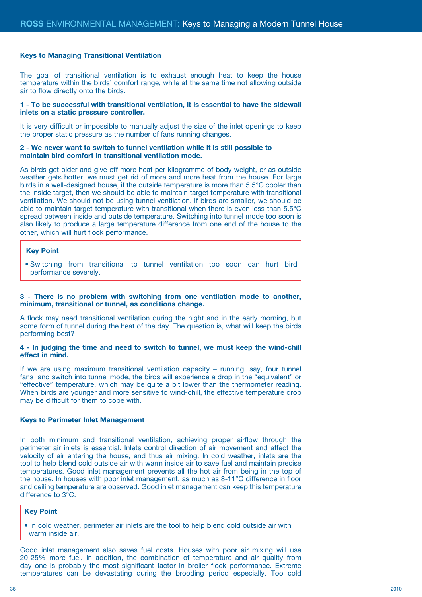#### **Keys to Managing Transitional Ventilation**

The goal of transitional ventilation is to exhaust enough heat to keep the house temperature within the birds' comfort range, while at the same time not allowing outside air to flow directly onto the birds.

#### **1 - To be successful with transitional ventilation, it is essential to have the sidewall inlets on a static pressure controller.**

It is very difficult or impossible to manually adjust the size of the inlet openings to keep the proper static pressure as the number of fans running changes.

#### **2 - We never want to switch to tunnel ventilation while it is still possible to maintain bird comfort in transitional ventilation mode.**

As birds get older and give off more heat per kilogramme of body weight, or as outside weather gets hotter, we must get rid of more and more heat from the house. For large birds in a well-designed house, if the outside temperature is more than 5.5°C cooler than the inside target, then we should be able to maintain target temperature with transitional ventilation. We should not be using tunnel ventilation. If birds are smaller, we should be able to maintain target temperature with transitional when there is even less than 5.5°C spread between inside and outside temperature. Switching into tunnel mode too soon is also likely to produce a large temperature difference from one end of the house to the other, which will hurt flock performance.

#### **Key Point**

• Switching from transitional to tunnel ventilation too soon can hurt bird performance severely.

#### **3 - There is no problem with switching from one ventilation mode to another, minimum, transitional or tunnel, as conditions change.**

A flock may need transitional ventilation during the night and in the early morning, but some form of tunnel during the heat of the day. The question is, what will keep the birds performing best?

#### **4 - In judging the time and need to switch to tunnel, we must keep the wind-chill effect in mind.**

If we are using maximum transitional ventilation capacity – running, say, four tunnel fans and switch into tunnel mode, the birds will experience a drop in the "equivalent" or "effective" temperature, which may be quite a bit lower than the thermometer reading. When birds are younger and more sensitive to wind-chill, the effective temperature drop may be difficult for them to cope with.

#### **Keys to Perimeter Inlet Management**

In both minimum and transitional ventilation, achieving proper airflow through the perimeter air inlets is essential. Inlets control direction of air movement and affect the velocity of air entering the house, and thus air mixing. In cold weather, inlets are the tool to help blend cold outside air with warm inside air to save fuel and maintain precise temperatures. Good inlet management prevents all the hot air from being in the top of the house. In houses with poor inlet management, as much as 8-11°C difference in floor and ceiling temperature are observed. Good inlet management can keep this temperature difference to 3°C.

#### **Key Point**

 • In cold weather, perimeter air inlets are the tool to help blend cold outside air with warm inside air.

Good inlet management also saves fuel costs. Houses with poor air mixing will use 20-25% more fuel. In addition, the combination of temperature and air quality from day one is probably the most significant factor in broiler flock performance. Extreme temperatures can be devastating during the brooding period especially. Too cold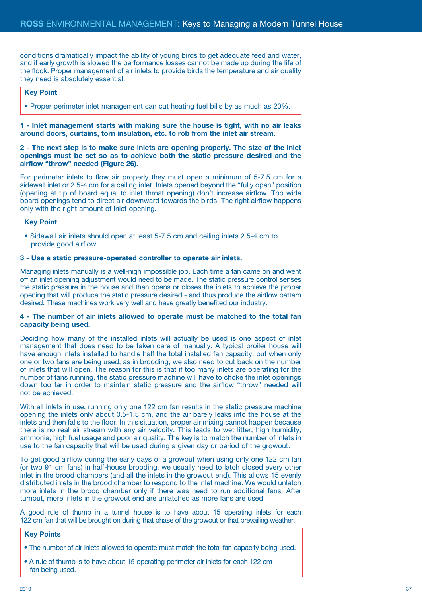conditions dramatically impact the ability of young birds to get adequate feed and water, and if early growth is slowed the performance losses cannot be made up during the life of the flock. Proper management of air inlets to provide birds the temperature and air quality they need is absolutely essential.

## **Key Point**

• Proper perimeter inlet management can cut heating fuel bills by as much as 20%.

**1 - Inlet management starts with making sure the house is tight, with no air leaks around doors, curtains, torn insulation, etc. to rob from the inlet air stream.** 

**2 - The next step is to make sure inlets are opening properly. The size of the inlet openings must be set so as to achieve both the static pressure desired and the airflow "throw" needed (Figure 26).**

For perimeter inlets to flow air properly they must open a minimum of 5-7.5 cm for a sidewall inlet or 2.5-4 cm for a ceiling inlet. Inlets opened beyond the "fully open" position (opening at tip of board equal to inlet throat opening) don't increase airflow. Too wide board openings tend to direct air downward towards the birds. The right airflow happens only with the right amount of inlet opening.

#### **Key Point**

 • Sidewall air inlets should open at least 5-7.5 cm and ceiling inlets 2.5-4 cm to provide good airflow.

#### **3 - Use a static pressure-operated controller to operate air inlets.**

Managing inlets manually is a well-nigh impossible job. Each time a fan came on and went off an inlet opening adjustment would need to be made. The static pressure control senses the static pressure in the house and then opens or closes the inlets to achieve the proper opening that will produce the static pressure desired - and thus produce the airflow pattern desired. These machines work very well and have greatly benefited our industry.

#### **4 - The number of air inlets allowed to operate must be matched to the total fan capacity being used.**

Deciding how many of the installed inlets will actually be used is one aspect of inlet management that does need to be taken care of manually. A typical broiler house will have enough inlets installed to handle half the total installed fan capacity, but when only one or two fans are being used, as in brooding, we also need to cut back on the number of inlets that will open. The reason for this is that if too many inlets are operating for the number of fans running, the static pressure machine will have to choke the inlet openings down too far in order to maintain static pressure and the airflow "throw" needed will not be achieved.

With all inlets in use, running only one 122 cm fan results in the static pressure machine opening the inlets only about 0.5-1.5 cm, and the air barely leaks into the house at the inlets and then falls to the floor. In this situation, proper air mixing cannot happen because there is no real air stream with any air velocity. This leads to wet litter, high humidity, ammonia, high fuel usage and poor air quality. The key is to match the number of inlets in use to the fan capacity that will be used during a given day or period of the growout.

To get good airflow during the early days of a growout when using only one 122 cm fan (or two 91 cm fans) in half-house brooding, we usually need to latch closed every other inlet in the brood chambers (and all the inlets in the growout end). This allows 15 evenly distributed inlets in the brood chamber to respond to the inlet machine. We would unlatch more inlets in the brood chamber only if there was need to run additional fans. After turnout, more inlets in the growout end are unlatched as more fans are used.

A good rule of thumb in a tunnel house is to have about 15 operating inlets for each 122 cm fan that will be brought on during that phase of the growout or that prevailing weather.

- The number of air inlets allowed to operate must match the total fan capacity being used.
- A rule of thumb is to have about 15 operating perimeter air inlets for each 122 cm fan being used.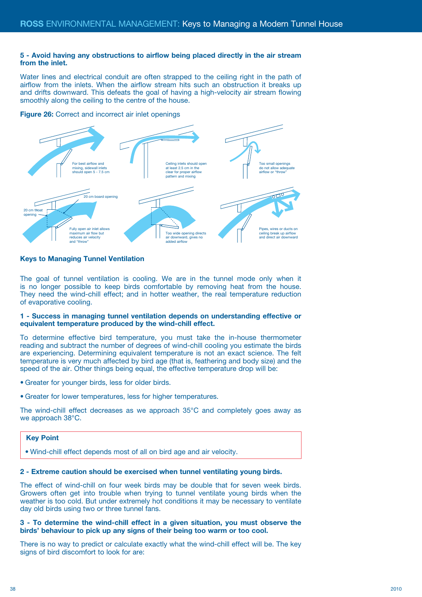#### **5 - Avoid having any obstructions to airflow being placed directly in the air stream from the inlet.**

Water lines and electrical conduit are often strapped to the ceiling right in the path of airflow from the inlets. When the airflow stream hits such an obstruction it breaks up and drifts downward. This defeats the goal of having a high-velocity air stream flowing smoothly along the ceiling to the centre of the house.

#### **Figure 26:** Correct and incorrect air inlet openings



## **Keys to Managing Tunnel Ventilation**

The goal of tunnel ventilation is cooling. We are in the tunnel mode only when it is no longer possible to keep birds comfortable by removing heat from the house. They need the wind-chill effect; and in hotter weather, the real temperature reduction of evaporative cooling.

#### **1 - Success in managing tunnel ventilation depends on understanding effective or equivalent temperature produced by the wind-chill effect.**

To determine effective bird temperature, you must take the in-house thermometer reading and subtract the number of degrees of wind-chill cooling you estimate the birds are experiencing. Determining equivalent temperature is not an exact science. The felt temperature is very much affected by bird age (that is, feathering and body size) and the speed of the air. Other things being equal, the effective temperature drop will be:

• Greater for younger birds, less for older birds.

• Greater for lower temperatures, less for higher temperatures.

The wind-chill effect decreases as we approach 35°C and completely goes away as we approach 38°C.

## **Key Point**

• Wind-chill effect depends most of all on bird age and air velocity.

#### **2 - Extreme caution should be exercised when tunnel ventilating young birds.**

The effect of wind-chill on four week birds may be double that for seven week birds. Growers often get into trouble when trying to tunnel ventilate young birds when the weather is too cold. But under extremely hot conditions it may be necessary to ventilate day old birds using two or three tunnel fans.

#### **3 - To determine the wind-chill effect in a given situation, you must observe the birds' behaviour to pick up any signs of their being too warm or too cool.**

There is no way to predict or calculate exactly what the wind-chill effect will be. The key signs of bird discomfort to look for are: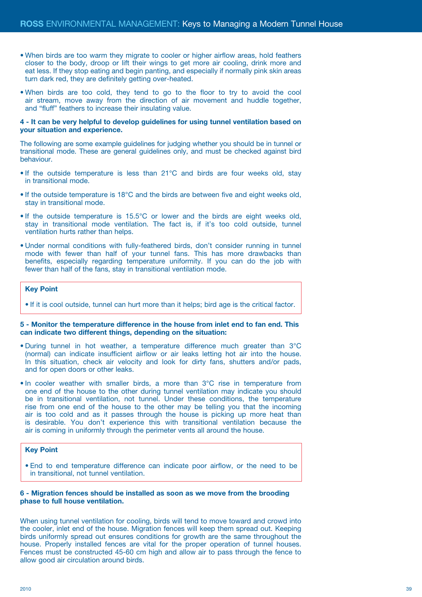- When birds are too warm they migrate to cooler or higher airflow areas, hold feathers closer to the body, droop or lift their wings to get more air cooling, drink more and eat less. If they stop eating and begin panting, and especially if normally pink skin areas turn dark red, they are definitely getting over-heated.
- When birds are too cold, they tend to go to the floor to try to avoid the cool air stream, move away from the direction of air movement and huddle together, and "fluff" feathers to increase their insulating value.

#### **4 - It can be very helpful to develop guidelines for using tunnel ventilation based on your situation and experience.**

The following are some example guidelines for judging whether you should be in tunnel or transitional mode. These are general guidelines only, and must be checked against bird behaviour.

- If the outside temperature is less than 21°C and birds are four weeks old, stay in transitional mode.
- If the outside temperature is 18°C and the birds are between five and eight weeks old, stay in transitional mode.
- If the outside temperature is 15.5°C or lower and the birds are eight weeks old, stay in transitional mode ventilation. The fact is, if it's too cold outside, tunnel ventilation hurts rather than helps.
- Under normal conditions with fully-feathered birds, don't consider running in tunnel mode with fewer than half of your tunnel fans. This has more drawbacks than benefits, especially regarding temperature uniformity. If you can do the job with fewer than half of the fans, stay in transitional ventilation mode.

#### **Key Point**

• If it is cool outside, tunnel can hurt more than it helps; bird age is the critical factor.

#### **5 - Monitor the temperature difference in the house from inlet end to fan end. This can indicate two different things, depending on the situation:**

- During tunnel in hot weather, a temperature difference much greater than 3°C (normal) can indicate insufficient airflow or air leaks letting hot air into the house. In this situation, check air velocity and look for dirty fans, shutters and/or pads, and for open doors or other leaks.
- In cooler weather with smaller birds, a more than 3°C rise in temperature from one end of the house to the other during tunnel ventilation may indicate you should be in transitional ventilation, not tunnel. Under these conditions, the temperature rise from one end of the house to the other may be telling you that the incoming air is too cold and as it passes through the house is picking up more heat than is desirable. You don't experience this with transitional ventilation because the air is coming in uniformly through the perimeter vents all around the house.

#### **Key Point**

• End to end temperature difference can indicate poor airflow, or the need to be in transitional, not tunnel ventilation.

## **6 - Migration fences should be installed as soon as we move from the brooding phase to full house ventilation.**

When using tunnel ventilation for cooling, birds will tend to move toward and crowd into the cooler, inlet end of the house. Migration fences will keep them spread out. Keeping birds uniformly spread out ensures conditions for growth are the same throughout the house. Properly installed fences are vital for the proper operation of tunnel houses. Fences must be constructed 45-60 cm high and allow air to pass through the fence to allow good air circulation around birds.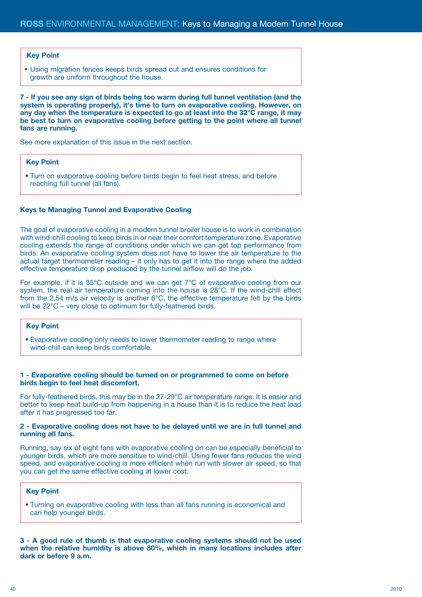#### **Key Point**

• Using migration fences keeps birds spread out and ensures conditions for growth are uniform throughout the house.

**7 - If you see any sign of birds being too warm during full tunnel ventilation (and the system is operating properly), it's time to turn on evaporative cooling. However, on any day when the temperature is expected to go at least into the 32°C range, it may be best to turn on evaporative cooling before getting to the point where all tunnel fans are running.**

See more explanation of this issue in the next section.

## **Key Point**

• Turn on evaporative cooling before birds begin to feel heat stress, and before reaching full tunnel (all fans).

#### **Keys to Managing Tunnel and Evaporative Cooling**

The goal of evaporative cooling in a modern tunnel broiler house is to work in combination with wind-chill cooling to keep birds in or near their comfort temperature zone. Evaporative cooling extends the range of conditions under which we can get top performance from birds. An evaporative cooling system does not have to lower the air temperature to the actual target thermometer reading – it only has to get it into the range where the added effective temperature drop produced by the tunnel airflow will do the job.

For example, if it is 35°C outside and we can get 7°C of evaporative cooling from our system, the real air temperature coming into the house is 28°C. If the wind-chill effect from the 2.54 m/s air velocity is another 6°C, the effective temperature felt by the birds will be 22°C – very close to optimum for fully-feathered birds.

#### **Key Point**

• Evaporative cooling only needs to lower thermometer reading to range where wind-chill can keep birds comfortable.

#### **1 - Evaporative cooling should be turned on or programmed to come on before birds begin to feel heat discomfort.**

For fully-feathered birds, this may be in the 27-29°C air temperature range. It is easier and better to keep heat build-up from happening in a house than it is to reduce the heat load after it has progressed too far.

### **2 - Evaporative cooling does not have to be delayed until we are in full tunnel and running all fans.**

Running, say six of eight fans with evaporative cooling on can be especially beneficial to younger birds, which are more sensitive to wind-chill. Using fewer fans reduces the wind speed, and evaporative cooling is more efficient when run with slower air speed, so that you can get the same effective cooling at lower cost.

#### **Key Point**

• Turning on evaporative cooling with less than all fans running is economical and can help younger birds.

**3 - A good rule of thumb is that evaporative cooling systems should not be used when the relative humidity is above 80%, which in many locations includes after dark or before 9 a.m.**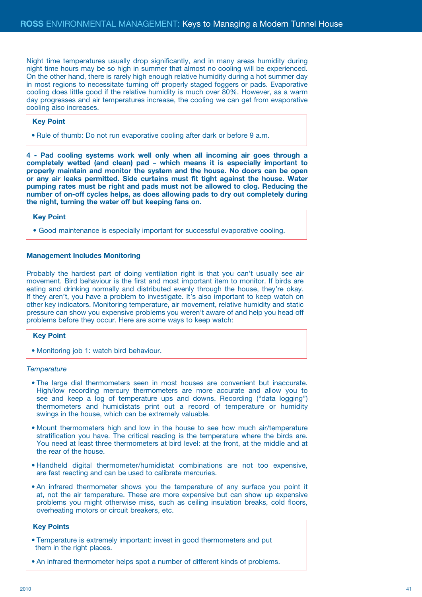Night time temperatures usually drop significantly, and in many areas humidity during night time hours may be so high in summer that almost no cooling will be experienced. On the other hand, there is rarely high enough relative humidity during a hot summer day in most regions to necessitate turning off properly staged foggers or pads. Evaporative cooling does little good if the relative humidity is much over 80%. However, as a warm day progresses and air temperatures increase, the cooling we can get from evaporative cooling also increases.

#### **Key Point**

• Rule of thumb: Do not run evaporative cooling after dark or before 9 a.m.

**4 - Pad cooling systems work well only when all incoming air goes through a completely wetted (and clean) pad – which means it is especially important to properly maintain and monitor the system and the house. No doors can be open or any air leaks permitted. Side curtains must fit tight against the house. Water pumping rates must be right and pads must not be allowed to clog. Reducing the number of on-off cycles helps, as does allowing pads to dry out completely during the night, turning the water off but keeping fans on.**

## **Key Point**

• Good maintenance is especially important for successful evaporative cooling.

#### **Management Includes Monitoring**

Probably the hardest part of doing ventilation right is that you can't usually see air movement. Bird behaviour is the first and most important item to monitor. If birds are eating and drinking normally and distributed evenly through the house, they're okay. If they aren't, you have a problem to investigate. It's also important to keep watch on other key indicators. Monitoring temperature, air movement, relative humidity and static pressure can show you expensive problems you weren't aware of and help you head off problems before they occur. Here are some ways to keep watch:

#### **Key Point**

• Monitoring job 1: watch bird behaviour.

#### *Temperature*

- The large dial thermometers seen in most houses are convenient but inaccurate. High/low recording mercury thermometers are more accurate and allow you to see and keep a log of temperature ups and downs. Recording ("data logging") thermometers and humidistats print out a record of temperature or humidity swings in the house, which can be extremely valuable.
- Mount thermometers high and low in the house to see how much air/temperature stratification you have. The critical reading is the temperature where the birds are. You need at least three thermometers at bird level: at the front, at the middle and at the rear of the house.
- Handheld digital thermometer/humidistat combinations are not too expensive, are fast reacting and can be used to calibrate mercuries.
- An infrared thermometer shows you the temperature of any surface you point it at, not the air temperature. These are more expensive but can show up expensive problems you might otherwise miss, such as ceiling insulation breaks, cold floors, overheating motors or circuit breakers, etc.

- Temperature is extremely important: invest in good thermometers and put them in the right places.
- An infrared thermometer helps spot a number of different kinds of problems.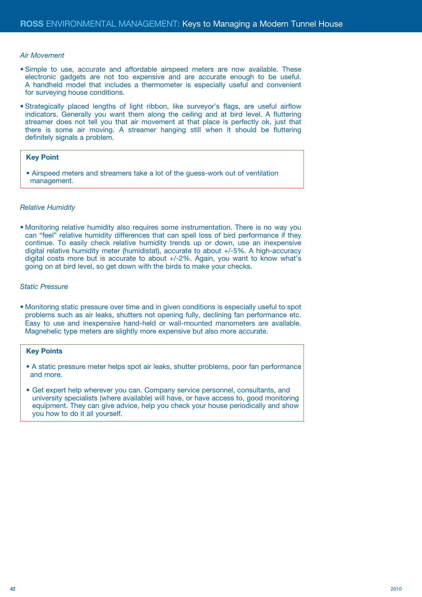#### *Air Movement*

- Simple to use, accurate and affordable airspeed meters are now available. These electronic gadgets are not too expensive and are accurate enough to be useful. A handheld model that includes a thermometer is especially useful and convenient for surveying house conditions.
- Strategically placed lengths of light ribbon, like surveyor's flags, are useful airflow indicators. Generally you want them along the ceiling and at bird level. A fluttering streamer does not tell you that air movement at that place is perfectly ok, just that there is some air moving. A streamer hanging still when it should be fluttering definitely signals a problem.

#### **Key Point**

• Airspeed meters and streamers take a lot of the guess-work out of ventilation management.

#### *Relative Humidity*

• Monitoring relative humidity also requires some instrumentation. There is no way you can "feel" relative humidity differences that can spell loss of bird performance if they continue. To easily check relative humidity trends up or down, use an inexpensive digital relative humidity meter (humidistat), accurate to about +/-5%. A high-accuracy digital costs more but is accurate to about +/-2%. Again, you want to know what's going on at bird level, so get down with the birds to make your checks.

#### *Static Pressure*

• Monitoring static pressure over time and in given conditions is especially useful to spot problems such as air leaks, shutters not opening fully, declining fan performance etc. Easy to use and inexpensive hand-held or wall-mounted manometers are available. Magnehelic type meters are slightly more expensive but also more accurate.

- A static pressure meter helps spot air leaks, shutter problems, poor fan performance and more.
- Get expert help wherever you can. Company service personnel, consultants, and university specialists (where available) will have, or have access to, good monitoring equipment. They can give advice, help you check your house periodically and show you how to do it all yourself.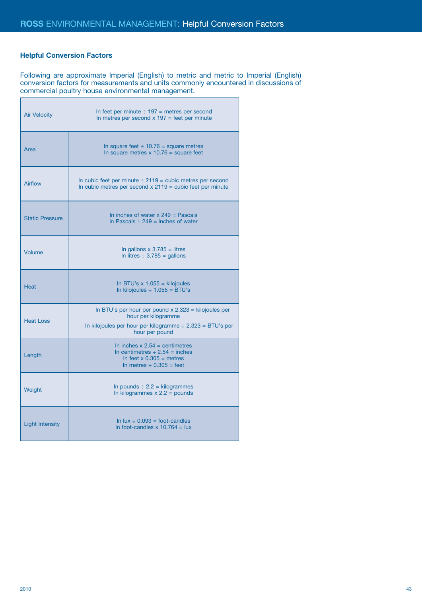## **Helpful Conversion Factors**

Following are approximate Imperial (English) to metric and metric to Imperial (English) conversion factors for measurements and units commonly encountered in discussions of commercial poultry house environmental management.

| <b>Air Velocity</b>    | In feet per minute $\div$ 197 = metres per second<br>In metres per second $x$ 197 = feet per minute                                                          |
|------------------------|--------------------------------------------------------------------------------------------------------------------------------------------------------------|
| Area                   | In square feet $\div$ 10.76 = square metres<br>In square metres $x 10.76$ = square feet                                                                      |
| <b>Airflow</b>         | In cubic feet per minute $\div$ 2119 = cubic metres per second<br>In cubic metres per second $x 2119$ = cubic feet per minute                                |
| <b>Static Pressure</b> | In inches of water $x 249$ = Pascals<br>In Pascals $\div$ 249 = inches of water                                                                              |
| Volume                 | In gallons $x 3.785 =$ litres<br>In litres $\div$ 3.785 = gallons                                                                                            |
| <b>Heat</b>            | In BTU's $x 1.055 =$ kilojoules<br>In kilojoules $\div$ 1.055 = BTU's                                                                                        |
| <b>Heat Loss</b>       | In BTU's per hour per pound $x$ 2.323 = kilojoules per<br>hour per kilogramme<br>In kilojoules per hour per kilogramme ÷ 2.323 = BTU's per<br>hour per pound |
| Length                 | In inches $x 2.54 =$ centimetres<br>In centimetres $\div$ 2.54 = inches<br>In feet $x 0.305$ = metres<br>In metres $\div$ 0.305 = feet                       |
| Weight                 | In pounds $\div$ 2.2 = kilogrammes<br>In kilogrammes $x 2.2 =$ pounds                                                                                        |
| <b>Light Intensity</b> | In $lux \div 0.093 = foot-candles$                                                                                                                           |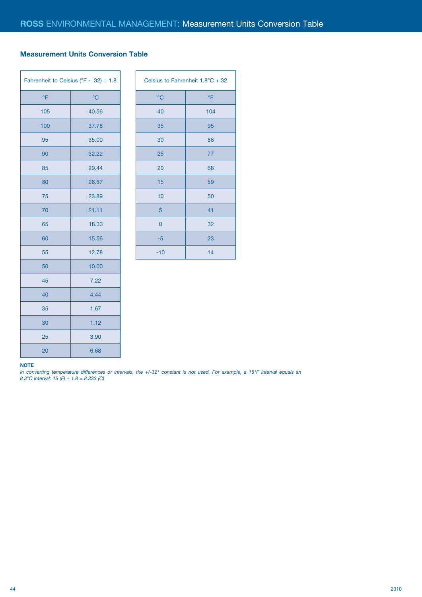## **Measurement Units Conversion Table**

| Fahrenheit to Celsius (°F - 32) ÷ 1.8 |             |  | Celsius         |
|---------------------------------------|-------------|--|-----------------|
| °F                                    | $^{\circ}C$ |  | $\rm ^{\circ}C$ |
| 105                                   | 40.56       |  | 40              |
| 100                                   | 37.78       |  | 35              |
| 95                                    | 35.00       |  | 30              |
| 90                                    | 32.22       |  | 25              |
| 85                                    | 29.44       |  | 20              |
| 80                                    | 26.67       |  | 15              |
| 75                                    | 23.89       |  | 10              |
| 70                                    | 21.11       |  | 5               |
| 65                                    | 18.33       |  | 0               |
| 60                                    | 15.56       |  | $-5$            |
| 55                                    | 12.78       |  | $-10$           |
| 50                                    | 10.00       |  |                 |
| 45                                    | 7.22        |  |                 |
| 40                                    | 4.44        |  |                 |
| 35                                    | 1.67        |  |                 |
| 30                                    | 1.12        |  |                 |
| 25                                    | 3.90        |  |                 |
| 20                                    | 6.68        |  |                 |

| Celsius to Fahrenheit 1.8°C + 32 |     |  |
|----------------------------------|-----|--|
| $^{\circ}C$                      | °F  |  |
| 40                               | 104 |  |
| 35                               | 95  |  |
| 30                               | 86  |  |
| 25                               | 77  |  |
| 20                               | 68  |  |
| 15                               | 59  |  |
| 10                               | 50  |  |
| 5                                | 41  |  |
| $\overline{0}$                   | 32  |  |
| $-5$                             | 23  |  |
| $-10$                            | 14  |  |

#### **NOTE**

*In converting temperature differences or intervals, the +/-32° constant is not used. For example, a 15°F interval equals an 8.3°C interval: 15 (F) ÷ 1.8 = 8.333 (C)*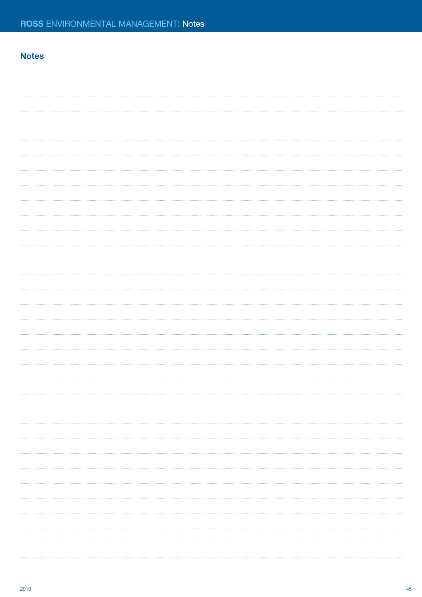## **Notes**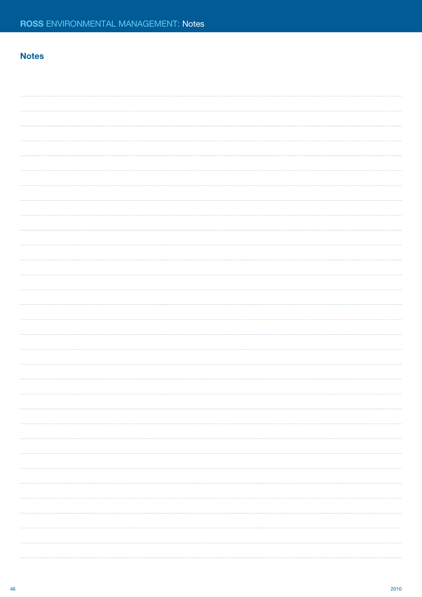## **Notes**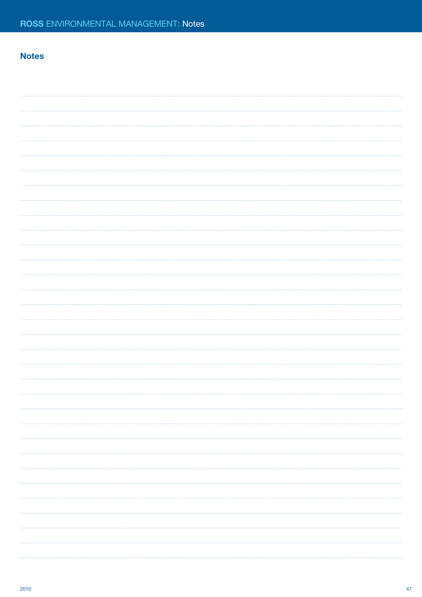## **Notes**